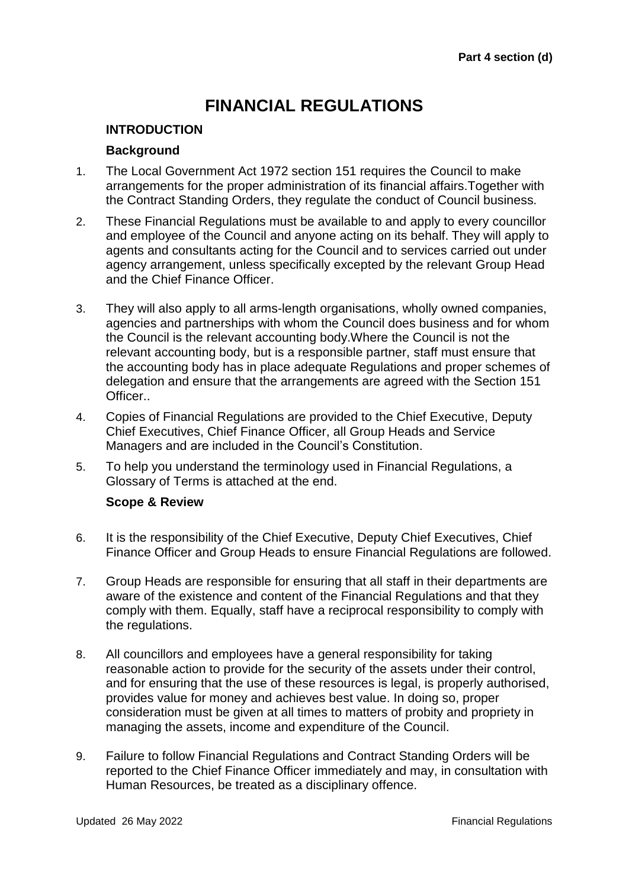# **FINANCIAL REGULATIONS**

#### **INTRODUCTION**

#### **Background**

- 1. The Local Government Act 1972 section 151 requires the Council to make arrangements for the proper administration of its financial affairs.Together with the Contract Standing Orders, they regulate the conduct of Council business.
- 2. These Financial Regulations must be available to and apply to every councillor and employee of the Council and anyone acting on its behalf. They will apply to agents and consultants acting for the Council and to services carried out under agency arrangement, unless specifically excepted by the relevant Group Head and the Chief Finance Officer.
- 3. They will also apply to all arms-length organisations, wholly owned companies, agencies and partnerships with whom the Council does business and for whom the Council is the relevant accounting body.Where the Council is not the relevant accounting body, but is a responsible partner, staff must ensure that the accounting body has in place adequate Regulations and proper schemes of delegation and ensure that the arrangements are agreed with the Section 151 Officer..
- 4. Copies of Financial Regulations are provided to the Chief Executive, Deputy Chief Executives, Chief Finance Officer, all Group Heads and Service Managers and are included in the Council's Constitution.
- 5. To help you understand the terminology used in Financial Regulations, a Glossary of Terms is attached at the end.

#### **Scope & Review**

- 6. It is the responsibility of the Chief Executive, Deputy Chief Executives, Chief Finance Officer and Group Heads to ensure Financial Regulations are followed.
- 7. Group Heads are responsible for ensuring that all staff in their departments are aware of the existence and content of the Financial Regulations and that they comply with them. Equally, staff have a reciprocal responsibility to comply with the regulations.
- 8. All councillors and employees have a general responsibility for taking reasonable action to provide for the security of the assets under their control, and for ensuring that the use of these resources is legal, is properly authorised, provides value for money and achieves best value. In doing so, proper consideration must be given at all times to matters of probity and propriety in managing the assets, income and expenditure of the Council.
- 9. Failure to follow Financial Regulations and Contract Standing Orders will be reported to the Chief Finance Officer immediately and may, in consultation with Human Resources, be treated as a disciplinary offence.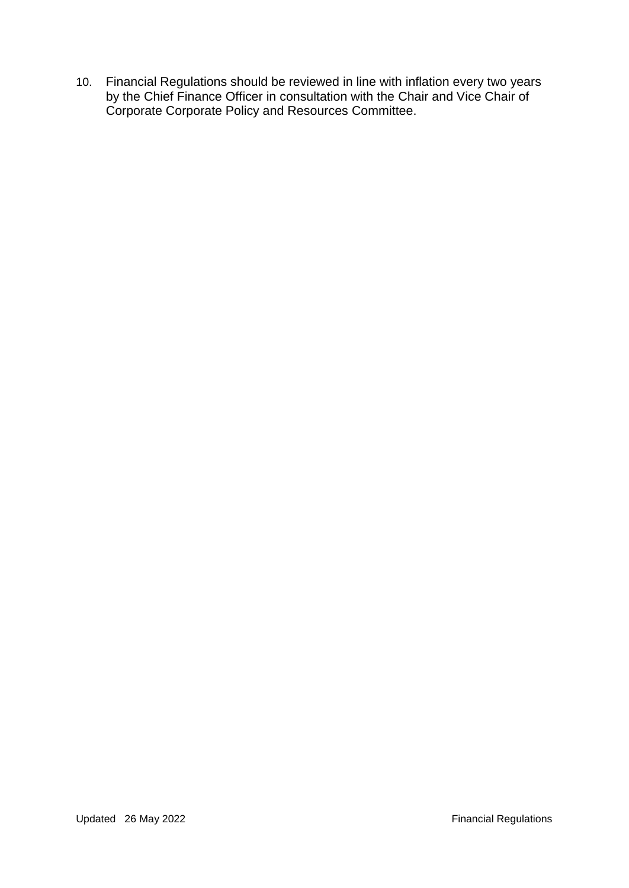10. Financial Regulations should be reviewed in line with inflation every two years by the Chief Finance Officer in consultation with the Chair and Vice Chair of Corporate Corporate Policy and Resources Committee.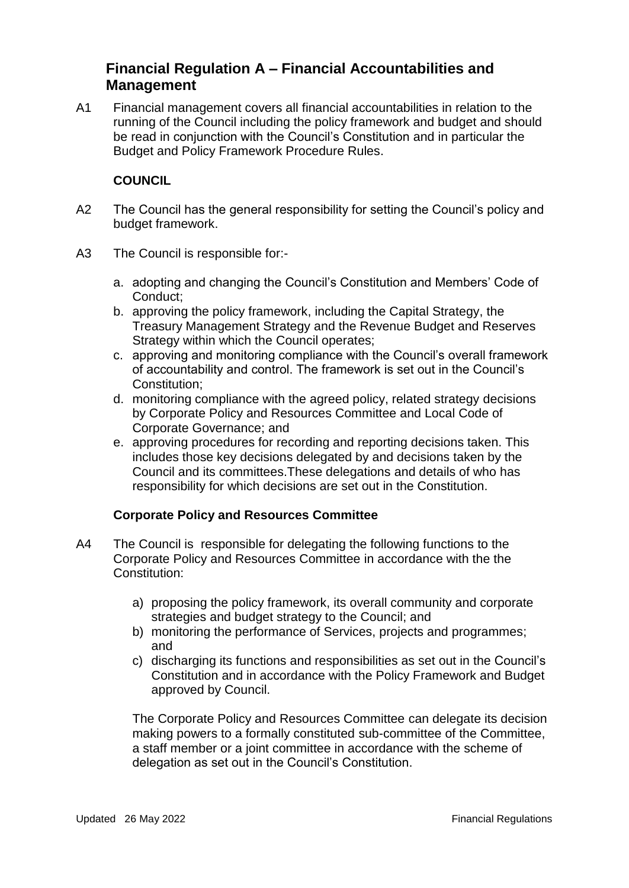# **Financial Regulation A – Financial Accountabilities and Management**

A1 Financial management covers all financial accountabilities in relation to the running of the Council including the policy framework and budget and should be read in conjunction with the Council's Constitution and in particular the Budget and Policy Framework Procedure Rules.

## **COUNCIL**

- A2 The Council has the general responsibility for setting the Council's policy and budget framework.
- A3 The Council is responsible for:
	- a. adopting and changing the Council's Constitution and Members' Code of Conduct;
	- b. approving the policy framework, including the Capital Strategy, the Treasury Management Strategy and the Revenue Budget and Reserves Strategy within which the Council operates;
	- c. approving and monitoring compliance with the Council's overall framework of accountability and control. The framework is set out in the Council's Constitution;
	- d. monitoring compliance with the agreed policy, related strategy decisions by Corporate Policy and Resources Committee and Local Code of Corporate Governance; and
	- e. approving procedures for recording and reporting decisions taken. This includes those key decisions delegated by and decisions taken by the Council and its committees.These delegations and details of who has responsibility for which decisions are set out in the Constitution.

#### **Corporate Policy and Resources Committee**

- A4 The Council is responsible for delegating the following functions to the Corporate Policy and Resources Committee in accordance with the the Constitution:
	- a) proposing the policy framework, its overall community and corporate strategies and budget strategy to the Council; and
	- b) monitoring the performance of Services, projects and programmes; and
	- c) discharging its functions and responsibilities as set out in the Council's Constitution and in accordance with the Policy Framework and Budget approved by Council.

The Corporate Policy and Resources Committee can delegate its decision making powers to a formally constituted sub-committee of the Committee, a staff member or a joint committee in accordance with the scheme of delegation as set out in the Council's Constitution.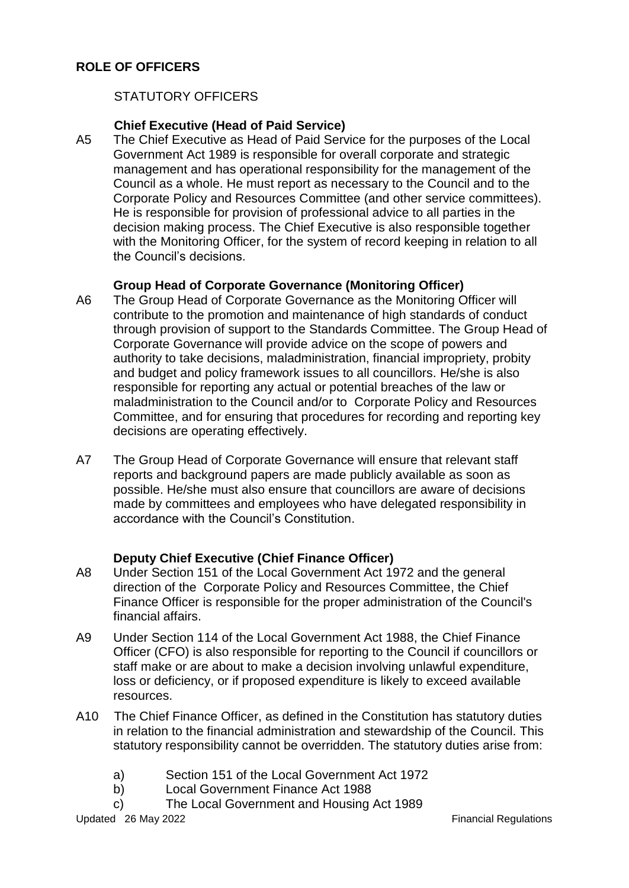## STATUTORY OFFICERS

#### **Chief Executive (Head of Paid Service)**

A5 The Chief Executive as Head of Paid Service for the purposes of the Local Government Act 1989 is responsible for overall corporate and strategic management and has operational responsibility for the management of the Council as a whole. He must report as necessary to the Council and to the Corporate Policy and Resources Committee (and other service committees). He is responsible for provision of professional advice to all parties in the decision making process. The Chief Executive is also responsible together with the Monitoring Officer, for the system of record keeping in relation to all the Council's decisions.

## **Group Head of Corporate Governance (Monitoring Officer)**

- A6 The Group Head of Corporate Governance as the Monitoring Officer will contribute to the promotion and maintenance of high standards of conduct through provision of support to the Standards Committee. The Group Head of Corporate Governance will provide advice on the scope of powers and authority to take decisions, maladministration, financial impropriety, probity and budget and policy framework issues to all councillors. He/she is also responsible for reporting any actual or potential breaches of the law or maladministration to the Council and/or to Corporate Policy and Resources Committee, and for ensuring that procedures for recording and reporting key decisions are operating effectively.
- A7 The Group Head of Corporate Governance will ensure that relevant staff reports and background papers are made publicly available as soon as possible. He/she must also ensure that councillors are aware of decisions made by committees and employees who have delegated responsibility in accordance with the Council's Constitution.

#### **Deputy Chief Executive (Chief Finance Officer)**

- A8 Under Section 151 of the Local Government Act 1972 and the general direction of the Corporate Policy and Resources Committee, the Chief Finance Officer is responsible for the proper administration of the Council's financial affairs.
- A9 Under Section 114 of the Local Government Act 1988, the Chief Finance Officer (CFO) is also responsible for reporting to the Council if councillors or staff make or are about to make a decision involving unlawful expenditure, loss or deficiency, or if proposed expenditure is likely to exceed available resources.
- A10 The Chief Finance Officer, as defined in the Constitution has statutory duties in relation to the financial administration and stewardship of the Council. This statutory responsibility cannot be overridden. The statutory duties arise from:
	- a) Section 151 of the Local Government Act 1972
	- b) Local Government Finance Act 1988
	- c) The Local Government and Housing Act 1989

Updated 26 May 2022 **Financial Regulations**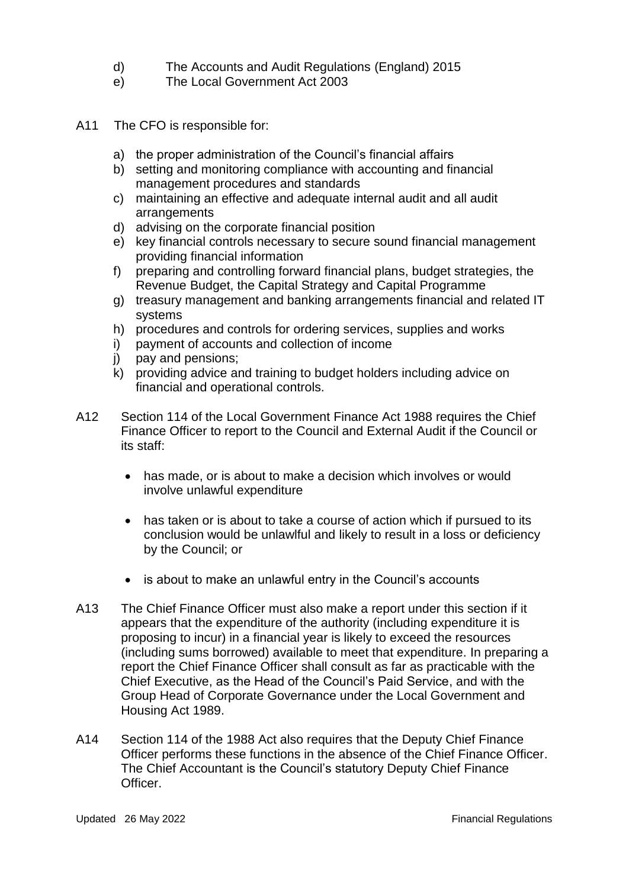- d) The Accounts and Audit Regulations (England) 2015
- e) The Local Government Act 2003
- A11 The CFO is responsible for:
	- a) the proper administration of the Council's financial affairs
	- b) setting and monitoring compliance with accounting and financial management procedures and standards
	- c) maintaining an effective and adequate internal audit and all audit arrangements
	- d) advising on the corporate financial position
	- e) key financial controls necessary to secure sound financial management providing financial information
	- f) preparing and controlling forward financial plans, budget strategies, the Revenue Budget, the Capital Strategy and Capital Programme
	- g) treasury management and banking arrangements financial and related IT systems
	- h) procedures and controls for ordering services, supplies and works
	- i) payment of accounts and collection of income
	- j) pay and pensions;
	- $k$ ) providing advice and training to budget holders including advice on financial and operational controls.
- A12 Section 114 of the Local Government Finance Act 1988 requires the Chief Finance Officer to report to the Council and External Audit if the Council or its staff:
	- has made, or is about to make a decision which involves or would involve unlawful expenditure
	- has taken or is about to take a course of action which if pursued to its conclusion would be unlawlful and likely to result in a loss or deficiency by the Council; or
	- is about to make an unlawful entry in the Council's accounts
- A13 The Chief Finance Officer must also make a report under this section if it appears that the expenditure of the authority (including expenditure it is proposing to incur) in a financial year is likely to exceed the resources (including sums borrowed) available to meet that expenditure. In preparing a report the Chief Finance Officer shall consult as far as practicable with the Chief Executive, as the Head of the Council's Paid Service, and with the Group Head of Corporate Governance under the Local Government and Housing Act 1989.
- A14 Section 114 of the 1988 Act also requires that the Deputy Chief Finance Officer performs these functions in the absence of the Chief Finance Officer. The Chief Accountant is the Council's statutory Deputy Chief Finance Officer.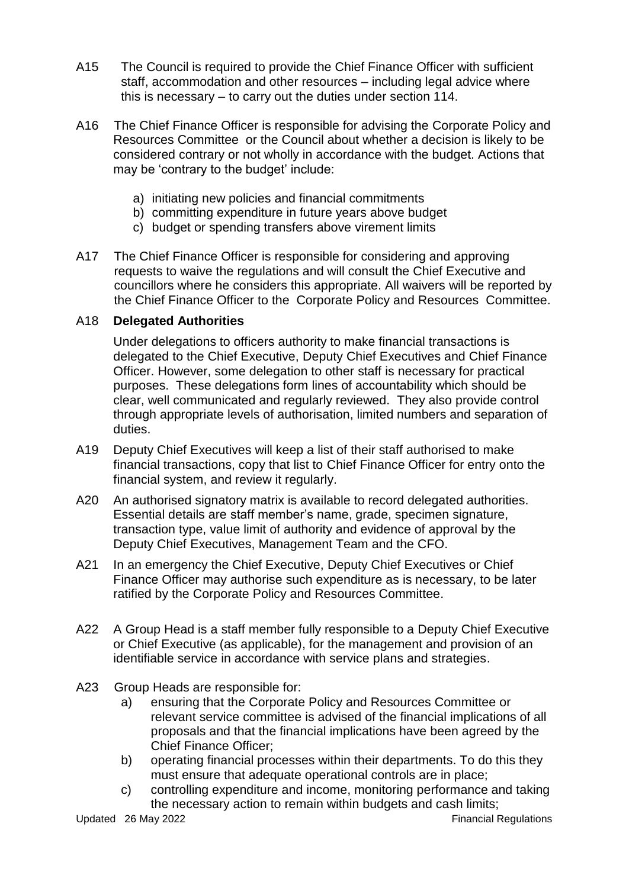- A15 The Council is required to provide the Chief Finance Officer with sufficient staff, accommodation and other resources – including legal advice where this is necessary – to carry out the duties under section 114.
- A16 The Chief Finance Officer is responsible for advising the Corporate Policy and Resources Committee or the Council about whether a decision is likely to be considered contrary or not wholly in accordance with the budget. Actions that may be 'contrary to the budget' include:
	- a) initiating new policies and financial commitments
	- b) committing expenditure in future years above budget
	- c) budget or spending transfers above virement limits
- A17 The Chief Finance Officer is responsible for considering and approving requests to waive the regulations and will consult the Chief Executive and councillors where he considers this appropriate. All waivers will be reported by the Chief Finance Officer to the Corporate Policy and Resources Committee.

#### A18 **Delegated Authorities**

Under delegations to officers authority to make financial transactions is delegated to the Chief Executive, Deputy Chief Executives and Chief Finance Officer. However, some delegation to other staff is necessary for practical purposes. These delegations form lines of accountability which should be clear, well communicated and regularly reviewed. They also provide control through appropriate levels of authorisation, limited numbers and separation of duties.

- A19 Deputy Chief Executives will keep a list of their staff authorised to make financial transactions, copy that list to Chief Finance Officer for entry onto the financial system, and review it regularly.
- A20 An authorised signatory matrix is available to record delegated authorities. Essential details are staff member's name, grade, specimen signature, transaction type, value limit of authority and evidence of approval by the Deputy Chief Executives, Management Team and the CFO.
- A21 In an emergency the Chief Executive, Deputy Chief Executives or Chief Finance Officer may authorise such expenditure as is necessary, to be later ratified by the Corporate Policy and Resources Committee.
- A22 A Group Head is a staff member fully responsible to a Deputy Chief Executive or Chief Executive (as applicable), for the management and provision of an identifiable service in accordance with service plans and strategies.
- A23 Group Heads are responsible for:
	- a) ensuring that the Corporate Policy and Resources Committee or relevant service committee is advised of the financial implications of all proposals and that the financial implications have been agreed by the Chief Finance Officer;
	- b) operating financial processes within their departments. To do this they must ensure that adequate operational controls are in place;
	- c) controlling expenditure and income, monitoring performance and taking the necessary action to remain within budgets and cash limits;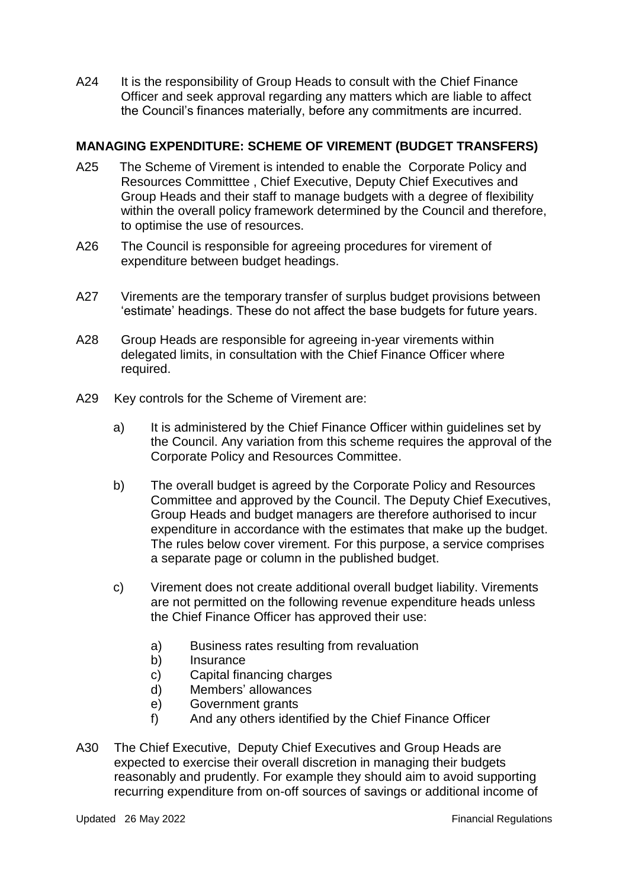A24 It is the responsibility of Group Heads to consult with the Chief Finance Officer and seek approval regarding any matters which are liable to affect the Council's finances materially, before any commitments are incurred.

## **MANAGING EXPENDITURE: SCHEME OF VIREMENT (BUDGET TRANSFERS)**

- A25 The Scheme of Virement is intended to enable the Corporate Policy and Resources Committtee , Chief Executive, Deputy Chief Executives and Group Heads and their staff to manage budgets with a degree of flexibility within the overall policy framework determined by the Council and therefore, to optimise the use of resources.
- A26 The Council is responsible for agreeing procedures for virement of expenditure between budget headings.
- A27 Virements are the temporary transfer of surplus budget provisions between 'estimate' headings. These do not affect the base budgets for future years.
- A28 Group Heads are responsible for agreeing in-year virements within delegated limits, in consultation with the Chief Finance Officer where required.
- A29 Key controls for the Scheme of Virement are:
	- a) It is administered by the Chief Finance Officer within guidelines set by the Council. Any variation from this scheme requires the approval of the Corporate Policy and Resources Committee.
	- b) The overall budget is agreed by the Corporate Policy and Resources Committee and approved by the Council. The Deputy Chief Executives, Group Heads and budget managers are therefore authorised to incur expenditure in accordance with the estimates that make up the budget. The rules below cover virement. For this purpose, a service comprises a separate page or column in the published budget.
	- c) Virement does not create additional overall budget liability. Virements are not permitted on the following revenue expenditure heads unless the Chief Finance Officer has approved their use:
		- a) Business rates resulting from revaluation
		- b) Insurance
		- c) Capital financing charges
		- d) Members' allowances
		- e) Government grants
		- f) And any others identified by the Chief Finance Officer
- A30 The Chief Executive, Deputy Chief Executives and Group Heads are expected to exercise their overall discretion in managing their budgets reasonably and prudently. For example they should aim to avoid supporting recurring expenditure from on-off sources of savings or additional income of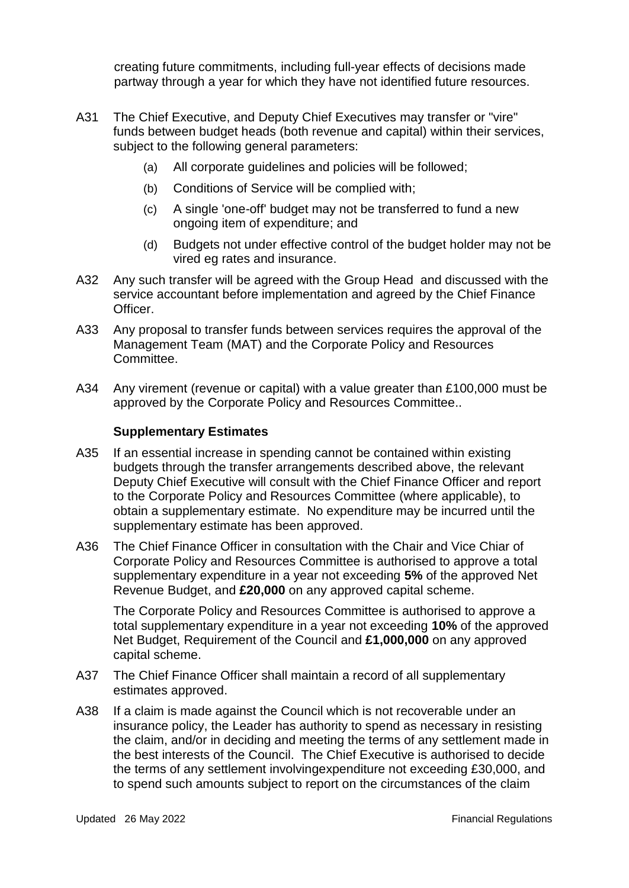creating future commitments, including full-year effects of decisions made partway through a year for which they have not identified future resources.

- A31 The Chief Executive, and Deputy Chief Executives may transfer or "vire" funds between budget heads (both revenue and capital) within their services, subject to the following general parameters:
	- (a) All corporate guidelines and policies will be followed;
	- (b) Conditions of Service will be complied with;
	- (c) A single 'one-off' budget may not be transferred to fund a new ongoing item of expenditure; and
	- (d) Budgets not under effective control of the budget holder may not be vired eg rates and insurance.
- A32 Any such transfer will be agreed with the Group Head and discussed with the service accountant before implementation and agreed by the Chief Finance Officer.
- A33 Any proposal to transfer funds between services requires the approval of the Management Team (MAT) and the Corporate Policy and Resources Committee.
- A34 Any virement (revenue or capital) with a value greater than £100,000 must be approved by the Corporate Policy and Resources Committee..

#### **Supplementary Estimates**

- A35 If an essential increase in spending cannot be contained within existing budgets through the transfer arrangements described above, the relevant Deputy Chief Executive will consult with the Chief Finance Officer and report to the Corporate Policy and Resources Committee (where applicable), to obtain a supplementary estimate. No expenditure may be incurred until the supplementary estimate has been approved.
- A36 The Chief Finance Officer in consultation with the Chair and Vice Chiar of Corporate Policy and Resources Committee is authorised to approve a total supplementary expenditure in a year not exceeding **5%** of the approved Net Revenue Budget, and **£20,000** on any approved capital scheme.

The Corporate Policy and Resources Committee is authorised to approve a total supplementary expenditure in a year not exceeding **10%** of the approved Net Budget, Requirement of the Council and **£1,000,000** on any approved capital scheme.

- A37 The Chief Finance Officer shall maintain a record of all supplementary estimates approved.
- A38 If a claim is made against the Council which is not recoverable under an insurance policy, the Leader has authority to spend as necessary in resisting the claim, and/or in deciding and meeting the terms of any settlement made in the best interests of the Council. The Chief Executive is authorised to decide the terms of any settlement involvingexpenditure not exceeding £30,000, and to spend such amounts subject to report on the circumstances of the claim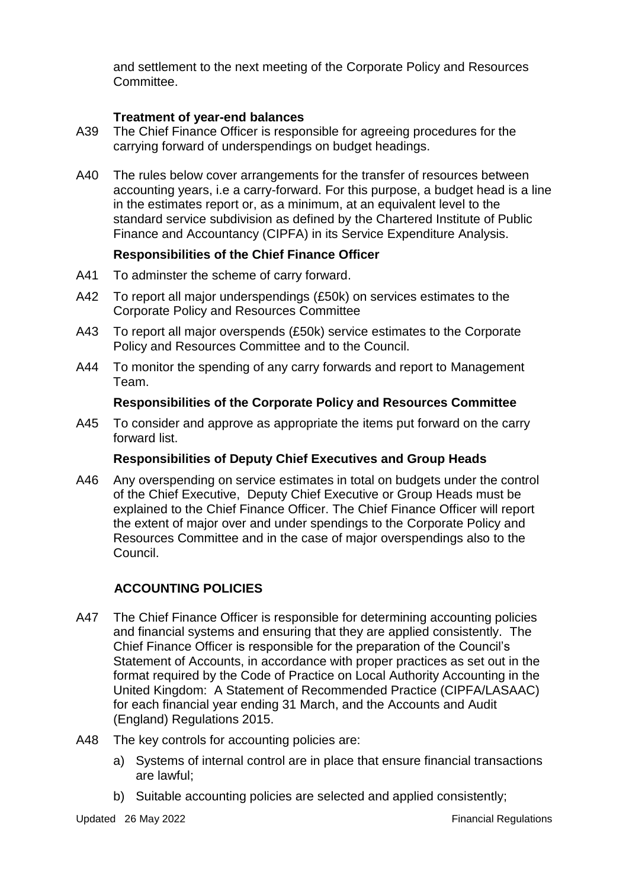and settlement to the next meeting of the Corporate Policy and Resources Committee.

## **Treatment of year-end balances**

- A39 The Chief Finance Officer is responsible for agreeing procedures for the carrying forward of underspendings on budget headings.
- A40 The rules below cover arrangements for the transfer of resources between accounting years, i.e a carry-forward. For this purpose, a budget head is a line in the estimates report or, as a minimum, at an equivalent level to the standard service subdivision as defined by the Chartered Institute of Public Finance and Accountancy (CIPFA) in its Service Expenditure Analysis.

## **Responsibilities of the Chief Finance Officer**

- A41 To adminster the scheme of carry forward.
- A42 To report all major underspendings (£50k) on services estimates to the Corporate Policy and Resources Committee
- A43 To report all major overspends (£50k) service estimates to the Corporate Policy and Resources Committee and to the Council.
- A44 To monitor the spending of any carry forwards and report to Management Team.

#### **Responsibilities of the Corporate Policy and Resources Committee**

A45 To consider and approve as appropriate the items put forward on the carry forward list.

#### **Responsibilities of Deputy Chief Executives and Group Heads**

A46 Any overspending on service estimates in total on budgets under the control of the Chief Executive, Deputy Chief Executive or Group Heads must be explained to the Chief Finance Officer. The Chief Finance Officer will report the extent of major over and under spendings to the Corporate Policy and Resources Committee and in the case of major overspendings also to the Council.

## **ACCOUNTING POLICIES**

- A47 The Chief Finance Officer is responsible for determining accounting policies and financial systems and ensuring that they are applied consistently. The Chief Finance Officer is responsible for the preparation of the Council's Statement of Accounts, in accordance with proper practices as set out in the format required by the Code of Practice on Local Authority Accounting in the United Kingdom: A Statement of Recommended Practice (CIPFA/LASAAC) for each financial year ending 31 March, and the Accounts and Audit (England) Regulations 2015.
- A48 The key controls for accounting policies are:
	- a) Systems of internal control are in place that ensure financial transactions are lawful;
	- b) Suitable accounting policies are selected and applied consistently;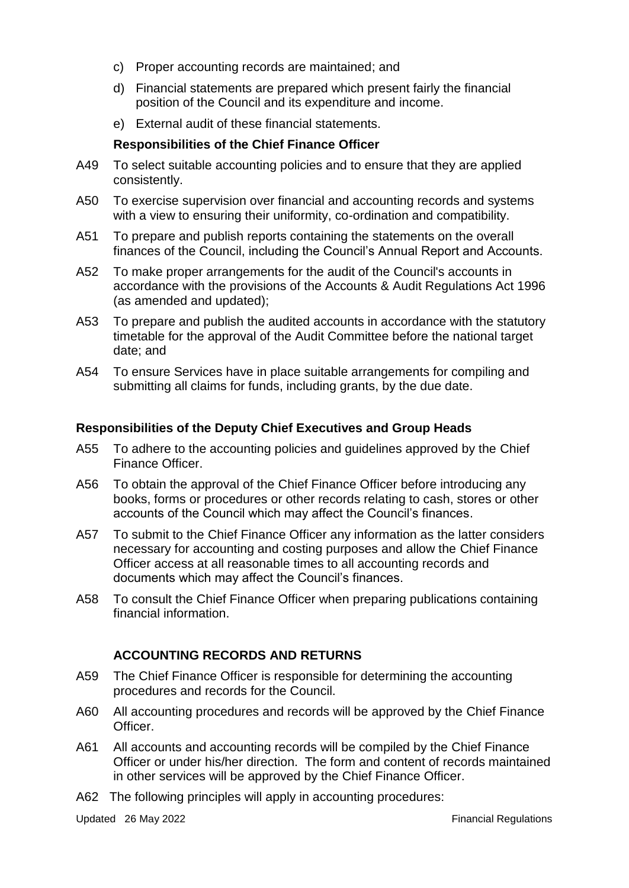- c) Proper accounting records are maintained; and
- d) Financial statements are prepared which present fairly the financial position of the Council and its expenditure and income.
- e) External audit of these financial statements.

#### **Responsibilities of the Chief Finance Officer**

- A49 To select suitable accounting policies and to ensure that they are applied consistently.
- A50 To exercise supervision over financial and accounting records and systems with a view to ensuring their uniformity, co-ordination and compatibility.
- A51 To prepare and publish reports containing the statements on the overall finances of the Council, including the Council's Annual Report and Accounts.
- A52 To make proper arrangements for the audit of the Council's accounts in accordance with the provisions of the Accounts & Audit Regulations Act 1996 (as amended and updated);
- A53 To prepare and publish the audited accounts in accordance with the statutory timetable for the approval of the Audit Committee before the national target date; and
- A54 To ensure Services have in place suitable arrangements for compiling and submitting all claims for funds, including grants, by the due date.

#### **Responsibilities of the Deputy Chief Executives and Group Heads**

- A55 To adhere to the accounting policies and guidelines approved by the Chief Finance Officer.
- A56 To obtain the approval of the Chief Finance Officer before introducing any books, forms or procedures or other records relating to cash, stores or other accounts of the Council which may affect the Council's finances.
- A57 To submit to the Chief Finance Officer any information as the latter considers necessary for accounting and costing purposes and allow the Chief Finance Officer access at all reasonable times to all accounting records and documents which may affect the Council's finances.
- A58 To consult the Chief Finance Officer when preparing publications containing financial information.

## **ACCOUNTING RECORDS AND RETURNS**

- A59 The Chief Finance Officer is responsible for determining the accounting procedures and records for the Council.
- A60 All accounting procedures and records will be approved by the Chief Finance Officer.
- A61 All accounts and accounting records will be compiled by the Chief Finance Officer or under his/her direction. The form and content of records maintained in other services will be approved by the Chief Finance Officer.
- A62 The following principles will apply in accounting procedures: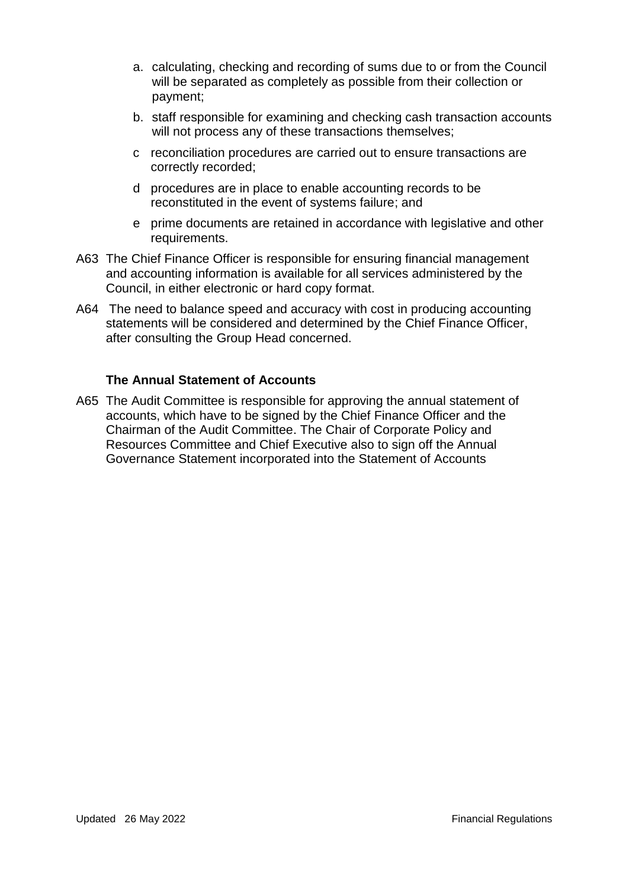- a. calculating, checking and recording of sums due to or from the Council will be separated as completely as possible from their collection or payment;
- b. staff responsible for examining and checking cash transaction accounts will not process any of these transactions themselves;
- c reconciliation procedures are carried out to ensure transactions are correctly recorded;
- d procedures are in place to enable accounting records to be reconstituted in the event of systems failure; and
- e prime documents are retained in accordance with legislative and other requirements.
- A63 The Chief Finance Officer is responsible for ensuring financial management and accounting information is available for all services administered by the Council, in either electronic or hard copy format.
- A64 The need to balance speed and accuracy with cost in producing accounting statements will be considered and determined by the Chief Finance Officer, after consulting the Group Head concerned.

#### **The Annual Statement of Accounts**

A65 The Audit Committee is responsible for approving the annual statement of accounts, which have to be signed by the Chief Finance Officer and the Chairman of the Audit Committee. The Chair of Corporate Policy and Resources Committee and Chief Executive also to sign off the Annual Governance Statement incorporated into the Statement of Accounts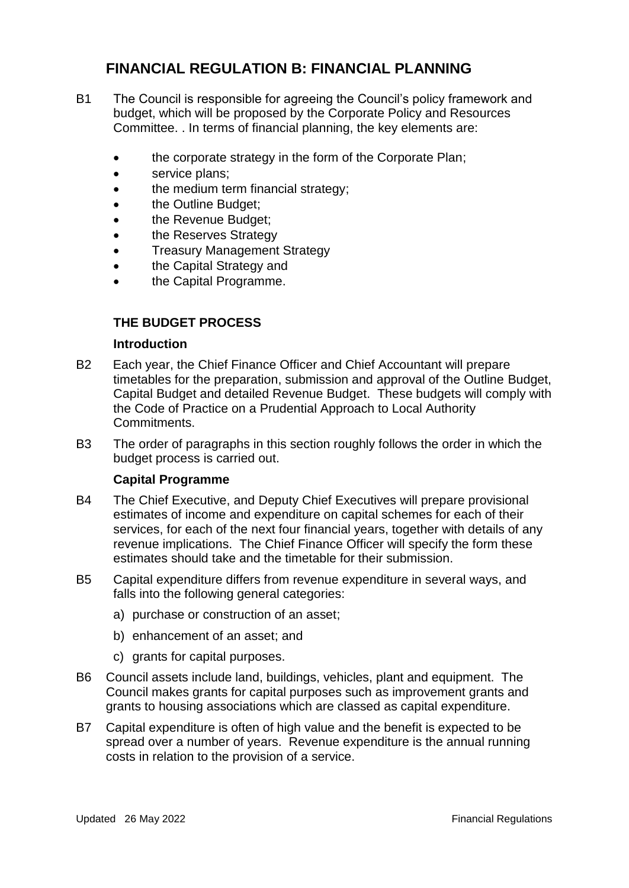# **FINANCIAL REGULATION B: FINANCIAL PLANNING**

- B1 The Council is responsible for agreeing the Council's policy framework and budget, which will be proposed by the Corporate Policy and Resources Committee. . In terms of financial planning, the key elements are:
	- the corporate strategy in the form of the Corporate Plan;
	- service plans;
	- the medium term financial strategy;
	- the Outline Budget;
	- the Revenue Budget;
	- the Reserves Strategy
	- Treasury Management Strategy
	- the Capital Strategy and
	- the Capital Programme.

## **THE BUDGET PROCESS**

#### **Introduction**

- B2 Each year, the Chief Finance Officer and Chief Accountant will prepare timetables for the preparation, submission and approval of the Outline Budget, Capital Budget and detailed Revenue Budget. These budgets will comply with the Code of Practice on a Prudential Approach to Local Authority Commitments.
- B3 The order of paragraphs in this section roughly follows the order in which the budget process is carried out.

#### **Capital Programme**

- B4 The Chief Executive, and Deputy Chief Executives will prepare provisional estimates of income and expenditure on capital schemes for each of their services, for each of the next four financial years, together with details of any revenue implications. The Chief Finance Officer will specify the form these estimates should take and the timetable for their submission.
- B5 Capital expenditure differs from revenue expenditure in several ways, and falls into the following general categories:
	- a) purchase or construction of an asset;
	- b) enhancement of an asset; and
	- c) grants for capital purposes.
- B6 Council assets include land, buildings, vehicles, plant and equipment. The Council makes grants for capital purposes such as improvement grants and grants to housing associations which are classed as capital expenditure.
- B7 Capital expenditure is often of high value and the benefit is expected to be spread over a number of years. Revenue expenditure is the annual running costs in relation to the provision of a service.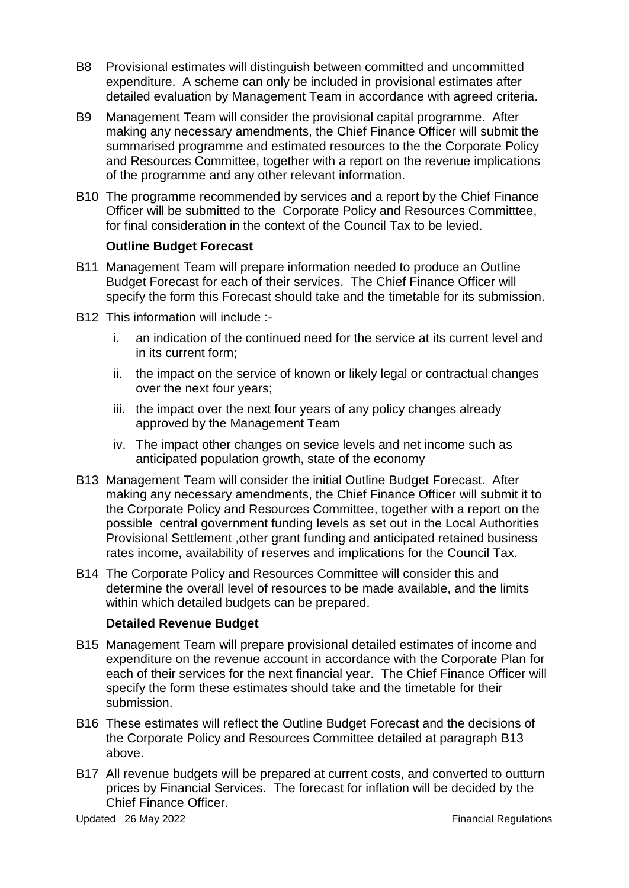- B8 Provisional estimates will distinguish between committed and uncommitted expenditure. A scheme can only be included in provisional estimates after detailed evaluation by Management Team in accordance with agreed criteria.
- B9 Management Team will consider the provisional capital programme. After making any necessary amendments, the Chief Finance Officer will submit the summarised programme and estimated resources to the the Corporate Policy and Resources Committee, together with a report on the revenue implications of the programme and any other relevant information.
- B10 The programme recommended by services and a report by the Chief Finance Officer will be submitted to the Corporate Policy and Resources Committtee, for final consideration in the context of the Council Tax to be levied.

#### **Outline Budget Forecast**

- B11 Management Team will prepare information needed to produce an Outline Budget Forecast for each of their services. The Chief Finance Officer will specify the form this Forecast should take and the timetable for its submission.
- B12 This information will include :
	- i. an indication of the continued need for the service at its current level and in its current form;
	- ii. the impact on the service of known or likely legal or contractual changes over the next four years;
	- iii. the impact over the next four years of any policy changes already approved by the Management Team
	- iv. The impact other changes on sevice levels and net income such as anticipated population growth, state of the economy
- B13 Management Team will consider the initial Outline Budget Forecast. After making any necessary amendments, the Chief Finance Officer will submit it to the Corporate Policy and Resources Committee, together with a report on the possible central government funding levels as set out in the Local Authorities Provisional Settlement ,other grant funding and anticipated retained business rates income, availability of reserves and implications for the Council Tax.
- B14 The Corporate Policy and Resources Committee will consider this and determine the overall level of resources to be made available, and the limits within which detailed budgets can be prepared.

#### **Detailed Revenue Budget**

- B15 Management Team will prepare provisional detailed estimates of income and expenditure on the revenue account in accordance with the Corporate Plan for each of their services for the next financial year. The Chief Finance Officer will specify the form these estimates should take and the timetable for their submission.
- B16 These estimates will reflect the Outline Budget Forecast and the decisions of the Corporate Policy and Resources Committee detailed at paragraph B13 above.
- B17 All revenue budgets will be prepared at current costs, and converted to outturn prices by Financial Services. The forecast for inflation will be decided by the Chief Finance Officer.

Updated 26 May 2022 Financial Regulations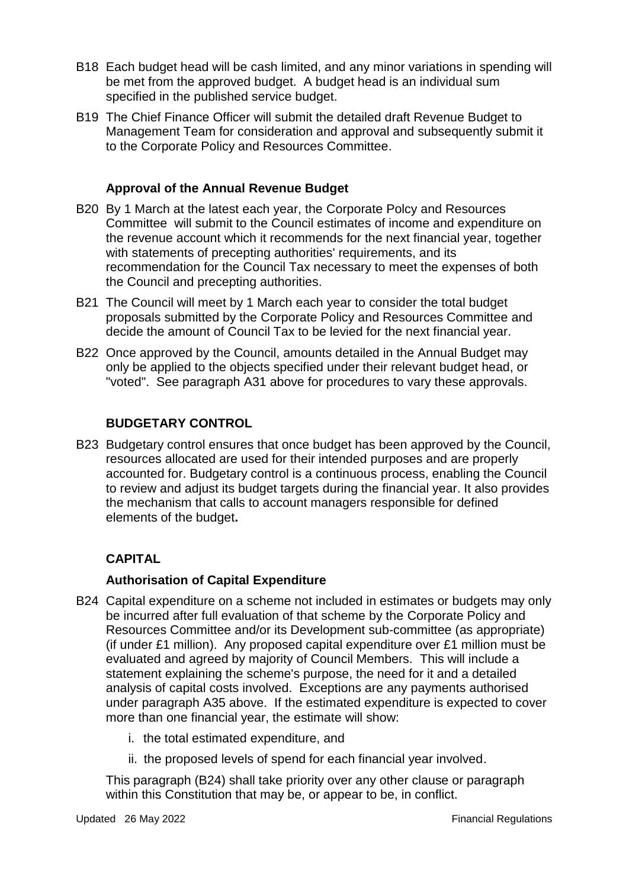- B18 Each budget head will be cash limited, and any minor variations in spending will be met from the approved budget. A budget head is an individual sum specified in the published service budget.
- B19 The Chief Finance Officer will submit the detailed draft Revenue Budget to Management Team for consideration and approval and subsequently submit it to the Corporate Policy and Resources Committee.

## **Approval of the Annual Revenue Budget**

- B20 By 1 March at the latest each year, the Corporate Polcy and Resources Committee will submit to the Council estimates of income and expenditure on the revenue account which it recommends for the next financial year, together with statements of precepting authorities' requirements, and its recommendation for the Council Tax necessary to meet the expenses of both the Council and precepting authorities.
- B21 The Council will meet by 1 March each year to consider the total budget proposals submitted by the Corporate Policy and Resources Committee and decide the amount of Council Tax to be levied for the next financial year.
- B22 Once approved by the Council, amounts detailed in the Annual Budget may only be applied to the objects specified under their relevant budget head, or "voted". See paragraph A31 above for procedures to vary these approvals.

## **BUDGETARY CONTROL**

B23 Budgetary control ensures that once budget has been approved by the Council, resources allocated are used for their intended purposes and are properly accounted for. Budgetary control is a continuous process, enabling the Council to review and adjust its budget targets during the financial year. It also provides the mechanism that calls to account managers responsible for defined elements of the budget**.**

## **CAPITAL**

## **Authorisation of Capital Expenditure**

- B24 Capital expenditure on a scheme not included in estimates or budgets may only be incurred after full evaluation of that scheme by the Corporate Policy and Resources Committee and/or its Development sub-committee (as appropriate) (if under £1 million). Any proposed capital expenditure over £1 million must be evaluated and agreed by majority of Council Members. This will include a statement explaining the scheme's purpose, the need for it and a detailed analysis of capital costs involved. Exceptions are any payments authorised under paragraph A35 above. If the estimated expenditure is expected to cover more than one financial year, the estimate will show:
	- i. the total estimated expenditure, and
	- ii. the proposed levels of spend for each financial year involved.

This paragraph (B24) shall take priority over any other clause or paragraph within this Constitution that may be, or appear to be, in conflict.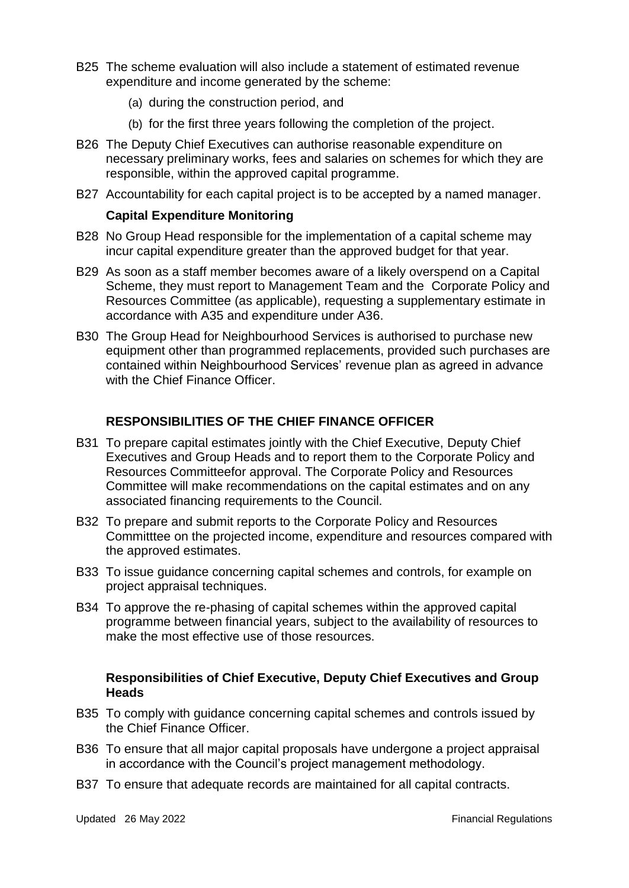- B25 The scheme evaluation will also include a statement of estimated revenue expenditure and income generated by the scheme:
	- (a) during the construction period, and
	- (b) for the first three years following the completion of the project.
- B26 The Deputy Chief Executives can authorise reasonable expenditure on necessary preliminary works, fees and salaries on schemes for which they are responsible, within the approved capital programme.
- B27 Accountability for each capital project is to be accepted by a named manager.

#### **Capital Expenditure Monitoring**

- B28 No Group Head responsible for the implementation of a capital scheme may incur capital expenditure greater than the approved budget for that year.
- B29 As soon as a staff member becomes aware of a likely overspend on a Capital Scheme, they must report to Management Team and the Corporate Policy and Resources Committee (as applicable), requesting a supplementary estimate in accordance with A35 and expenditure under A36.
- B30 The Group Head for Neighbourhood Services is authorised to purchase new equipment other than programmed replacements, provided such purchases are contained within Neighbourhood Services' revenue plan as agreed in advance with the Chief Finance Officer.

#### **RESPONSIBILITIES OF THE CHIEF FINANCE OFFICER**

- B31 To prepare capital estimates jointly with the Chief Executive, Deputy Chief Executives and Group Heads and to report them to the Corporate Policy and Resources Committeefor approval. The Corporate Policy and Resources Committee will make recommendations on the capital estimates and on any associated financing requirements to the Council.
- B32 To prepare and submit reports to the Corporate Policy and Resources Committtee on the projected income, expenditure and resources compared with the approved estimates.
- B33 To issue guidance concerning capital schemes and controls, for example on project appraisal techniques.
- B34 To approve the re-phasing of capital schemes within the approved capital programme between financial years, subject to the availability of resources to make the most effective use of those resources.

## **Responsibilities of Chief Executive, Deputy Chief Executives and Group Heads**

- B35 To comply with guidance concerning capital schemes and controls issued by the Chief Finance Officer.
- B36 To ensure that all major capital proposals have undergone a project appraisal in accordance with the Council's project management methodology.
- B37 To ensure that adequate records are maintained for all capital contracts.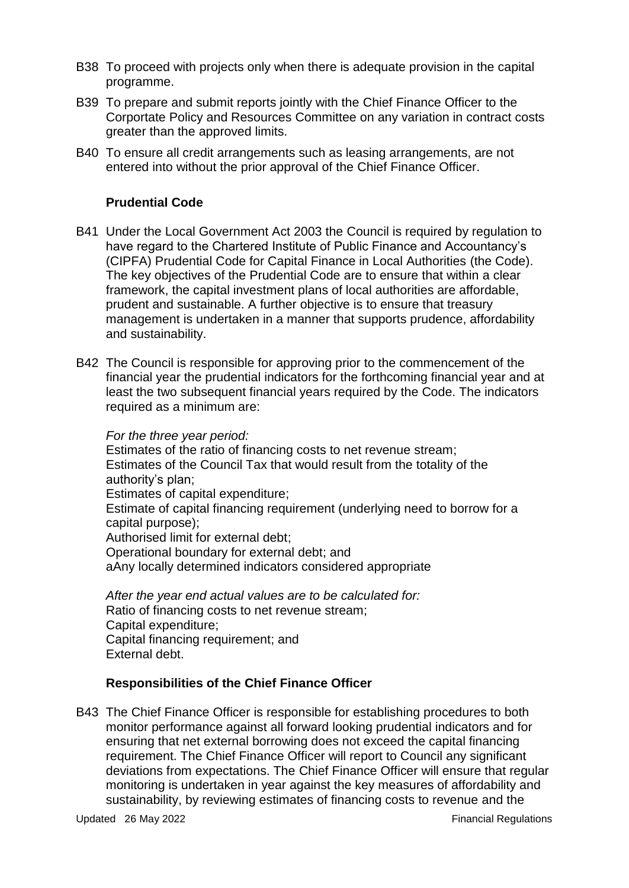- B38 To proceed with projects only when there is adequate provision in the capital programme.
- B39 To prepare and submit reports jointly with the Chief Finance Officer to the Corportate Policy and Resources Committee on any variation in contract costs greater than the approved limits.
- B40 To ensure all credit arrangements such as leasing arrangements, are not entered into without the prior approval of the Chief Finance Officer.

## **Prudential Code**

- B41 Under the Local Government Act 2003 the Council is required by regulation to have regard to the Chartered Institute of Public Finance and Accountancy's (CIPFA) Prudential Code for Capital Finance in Local Authorities (the Code). The key objectives of the Prudential Code are to ensure that within a clear framework, the capital investment plans of local authorities are affordable, prudent and sustainable. A further objective is to ensure that treasury management is undertaken in a manner that supports prudence, affordability and sustainability.
- B42 The Council is responsible for approving prior to the commencement of the financial year the prudential indicators for the forthcoming financial year and at least the two subsequent financial years required by the Code. The indicators required as a minimum are:

#### *For the three year period:*

Estimates of the ratio of financing costs to net revenue stream; Estimates of the Council Tax that would result from the totality of the authority's plan; Estimates of capital expenditure; Estimate of capital financing requirement (underlying need to borrow for a capital purpose); Authorised limit for external debt; Operational boundary for external debt; and aAny locally determined indicators considered appropriate

*After the year end actual values are to be calculated for:* Ratio of financing costs to net revenue stream; Capital expenditure; Capital financing requirement; and External debt.

#### **Responsibilities of the Chief Finance Officer**

B43 The Chief Finance Officer is responsible for establishing procedures to both monitor performance against all forward looking prudential indicators and for ensuring that net external borrowing does not exceed the capital financing requirement. The Chief Finance Officer will report to Council any significant deviations from expectations. The Chief Finance Officer will ensure that regular monitoring is undertaken in year against the key measures of affordability and sustainability, by reviewing estimates of financing costs to revenue and the

Updated 26 May 2022 **Financial Regulations**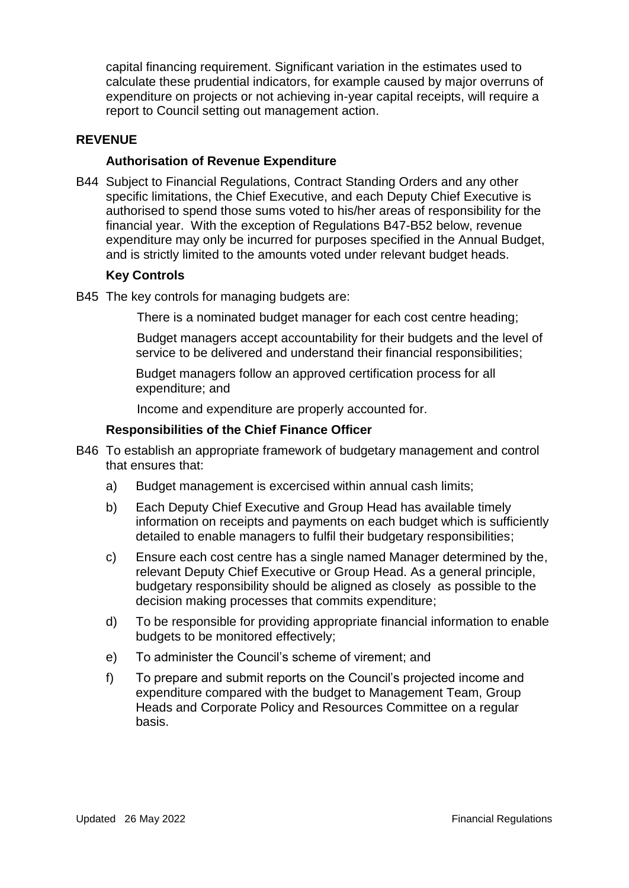capital financing requirement. Significant variation in the estimates used to calculate these prudential indicators, for example caused by major overruns of expenditure on projects or not achieving in-year capital receipts, will require a report to Council setting out management action.

#### **REVENUE**

#### **Authorisation of Revenue Expenditure**

B44 Subject to Financial Regulations, Contract Standing Orders and any other specific limitations, the Chief Executive, and each Deputy Chief Executive is authorised to spend those sums voted to his/her areas of responsibility for the financial year. With the exception of Regulations B47-B52 below, revenue expenditure may only be incurred for purposes specified in the Annual Budget, and is strictly limited to the amounts voted under relevant budget heads.

## **Key Controls**

B45 The key controls for managing budgets are:

There is a nominated budget manager for each cost centre heading;

Budget managers accept accountability for their budgets and the level of service to be delivered and understand their financial responsibilities;

Budget managers follow an approved certification process for all expenditure; and

Income and expenditure are properly accounted for.

#### **Responsibilities of the Chief Finance Officer**

- B46 To establish an appropriate framework of budgetary management and control that ensures that:
	- a) Budget management is excercised within annual cash limits;
	- b) Each Deputy Chief Executive and Group Head has available timely information on receipts and payments on each budget which is sufficiently detailed to enable managers to fulfil their budgetary responsibilities;
	- c) Ensure each cost centre has a single named Manager determined by the, relevant Deputy Chief Executive or Group Head. As a general principle, budgetary responsibility should be aligned as closely as possible to the decision making processes that commits expenditure;
	- d) To be responsible for providing appropriate financial information to enable budgets to be monitored effectively;
	- e) To administer the Council's scheme of virement; and
	- f) To prepare and submit reports on the Council's projected income and expenditure compared with the budget to Management Team, Group Heads and Corporate Policy and Resources Committee on a regular basis.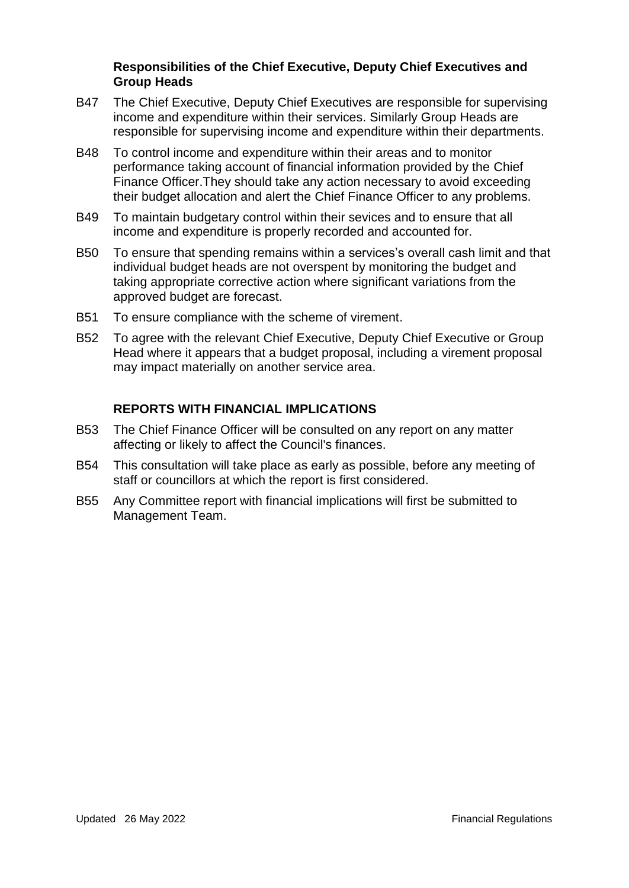#### **Responsibilities of the Chief Executive, Deputy Chief Executives and Group Heads**

- B47 The Chief Executive, Deputy Chief Executives are responsible for supervising income and expenditure within their services. Similarly Group Heads are responsible for supervising income and expenditure within their departments.
- B48 To control income and expenditure within their areas and to monitor performance taking account of financial information provided by the Chief Finance Officer.They should take any action necessary to avoid exceeding their budget allocation and alert the Chief Finance Officer to any problems.
- B49 To maintain budgetary control within their sevices and to ensure that all income and expenditure is properly recorded and accounted for.
- B50 To ensure that spending remains within a services's overall cash limit and that individual budget heads are not overspent by monitoring the budget and taking appropriate corrective action where significant variations from the approved budget are forecast.
- B51 To ensure compliance with the scheme of virement.
- B52 To agree with the relevant Chief Executive, Deputy Chief Executive or Group Head where it appears that a budget proposal, including a virement proposal may impact materially on another service area.

## **REPORTS WITH FINANCIAL IMPLICATIONS**

- B53 The Chief Finance Officer will be consulted on any report on any matter affecting or likely to affect the Council's finances.
- B54 This consultation will take place as early as possible, before any meeting of staff or councillors at which the report is first considered.
- B55 Any Committee report with financial implications will first be submitted to Management Team.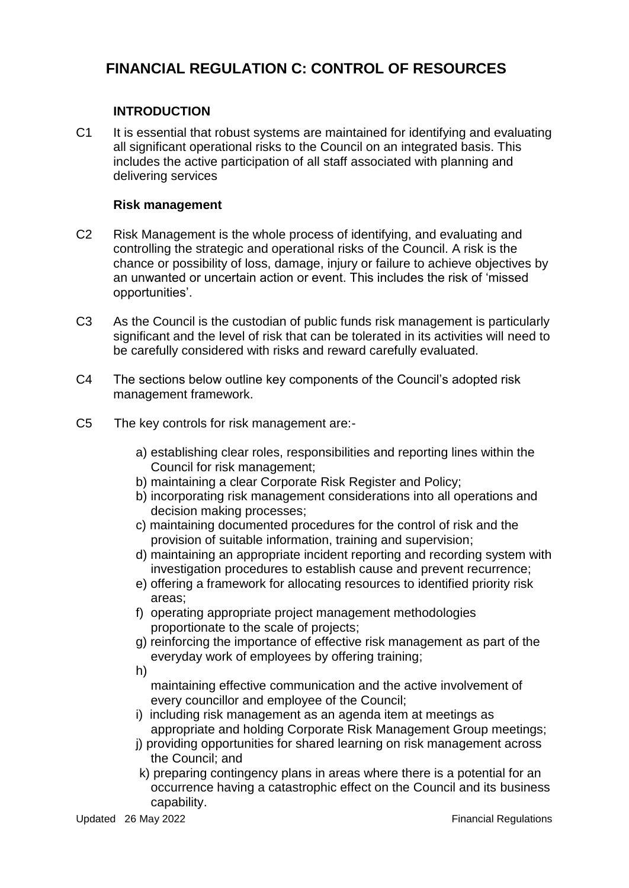# **FINANCIAL REGULATION C: CONTROL OF RESOURCES**

## **INTRODUCTION**

C1 It is essential that robust systems are maintained for identifying and evaluating all significant operational risks to the Council on an integrated basis. This includes the active participation of all staff associated with planning and delivering services

#### **Risk management**

- C2 Risk Management is the whole process of identifying, and evaluating and controlling the strategic and operational risks of the Council. A risk is the chance or possibility of loss, damage, injury or failure to achieve objectives by an unwanted or uncertain action or event. This includes the risk of 'missed opportunities'.
- C3 As the Council is the custodian of public funds risk management is particularly significant and the level of risk that can be tolerated in its activities will need to be carefully considered with risks and reward carefully evaluated.
- C4 The sections below outline key components of the Council's adopted risk management framework.
- C5 The key controls for risk management are:
	- a) establishing clear roles, responsibilities and reporting lines within the Council for risk management;
	- b) maintaining a clear Corporate Risk Register and Policy;
	- b) incorporating risk management considerations into all operations and decision making processes;
	- c) maintaining documented procedures for the control of risk and the provision of suitable information, training and supervision;
	- d) maintaining an appropriate incident reporting and recording system with investigation procedures to establish cause and prevent recurrence;
	- e) offering a framework for allocating resources to identified priority risk areas;
	- f) operating appropriate project management methodologies proportionate to the scale of projects;
	- g) reinforcing the importance of effective risk management as part of the everyday work of employees by offering training;
	- h)

maintaining effective communication and the active involvement of every councillor and employee of the Council;

- i) including risk management as an agenda item at meetings as appropriate and holding Corporate Risk Management Group meetings;
- j) providing opportunities for shared learning on risk management across the Council; and
- k) preparing contingency plans in areas where there is a potential for an occurrence having a catastrophic effect on the Council and its business capability.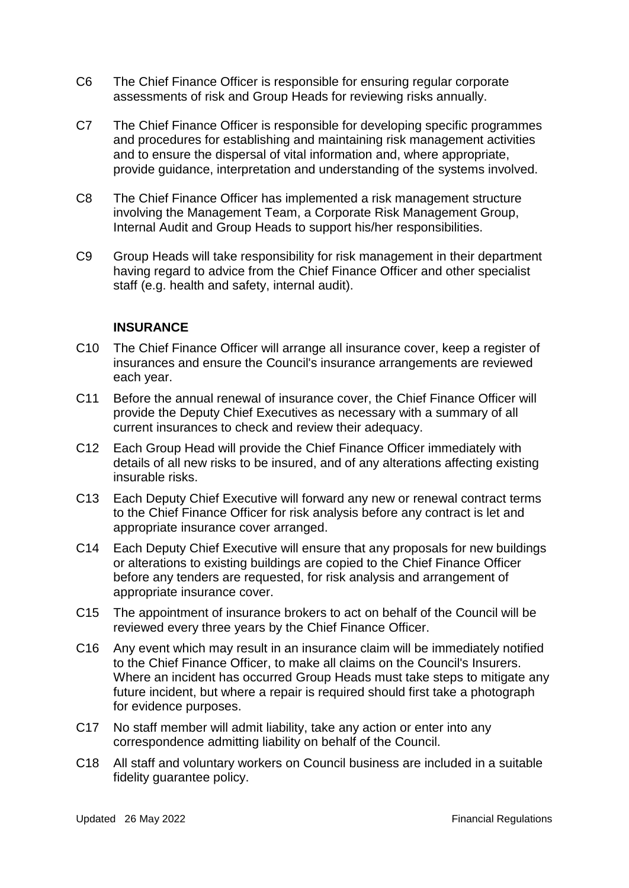- C6 The Chief Finance Officer is responsible for ensuring regular corporate assessments of risk and Group Heads for reviewing risks annually.
- C7 The Chief Finance Officer is responsible for developing specific programmes and procedures for establishing and maintaining risk management activities and to ensure the dispersal of vital information and, where appropriate, provide guidance, interpretation and understanding of the systems involved.
- C8 The Chief Finance Officer has implemented a risk management structure involving the Management Team, a Corporate Risk Management Group, Internal Audit and Group Heads to support his/her responsibilities.
- C9 Group Heads will take responsibility for risk management in their department having regard to advice from the Chief Finance Officer and other specialist staff (e.g. health and safety, internal audit).

#### **INSURANCE**

- C10 The Chief Finance Officer will arrange all insurance cover, keep a register of insurances and ensure the Council's insurance arrangements are reviewed each year.
- C11 Before the annual renewal of insurance cover, the Chief Finance Officer will provide the Deputy Chief Executives as necessary with a summary of all current insurances to check and review their adequacy.
- C12 Each Group Head will provide the Chief Finance Officer immediately with details of all new risks to be insured, and of any alterations affecting existing insurable risks.
- C13 Each Deputy Chief Executive will forward any new or renewal contract terms to the Chief Finance Officer for risk analysis before any contract is let and appropriate insurance cover arranged.
- C14 Each Deputy Chief Executive will ensure that any proposals for new buildings or alterations to existing buildings are copied to the Chief Finance Officer before any tenders are requested, for risk analysis and arrangement of appropriate insurance cover.
- C15 The appointment of insurance brokers to act on behalf of the Council will be reviewed every three years by the Chief Finance Officer.
- C16 Any event which may result in an insurance claim will be immediately notified to the Chief Finance Officer, to make all claims on the Council's Insurers. Where an incident has occurred Group Heads must take steps to mitigate any future incident, but where a repair is required should first take a photograph for evidence purposes.
- C17 No staff member will admit liability, take any action or enter into any correspondence admitting liability on behalf of the Council.
- C18 All staff and voluntary workers on Council business are included in a suitable fidelity guarantee policy.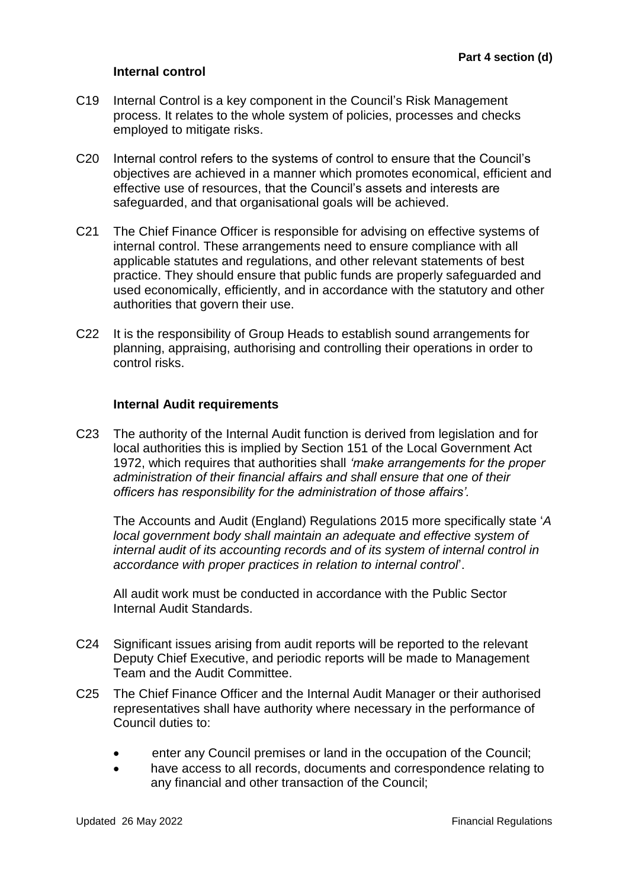#### **Internal control**

- C19 Internal Control is a key component in the Council's Risk Management process. It relates to the whole system of policies, processes and checks employed to mitigate risks.
- C20 Internal control refers to the systems of control to ensure that the Council's objectives are achieved in a manner which promotes economical, efficient and effective use of resources, that the Council's assets and interests are safeguarded, and that organisational goals will be achieved.
- C21 The Chief Finance Officer is responsible for advising on effective systems of internal control. These arrangements need to ensure compliance with all applicable statutes and regulations, and other relevant statements of best practice. They should ensure that public funds are properly safeguarded and used economically, efficiently, and in accordance with the statutory and other authorities that govern their use.
- C22 It is the responsibility of Group Heads to establish sound arrangements for planning, appraising, authorising and controlling their operations in order to control risks.

#### **Internal Audit requirements**

C23 The authority of the Internal Audit function is derived from legislation and for local authorities this is implied by Section 151 of the Local Government Act 1972, which requires that authorities shall *'make arrangements for the proper administration of their financial affairs and shall ensure that one of their officers has responsibility for the administration of those affairs'.* 

The Accounts and Audit (England) Regulations 2015 more specifically state '*A local government body shall maintain an adequate and effective system of internal audit of its accounting records and of its system of internal control in accordance with proper practices in relation to internal control*'.

All audit work must be conducted in accordance with the Public Sector Internal Audit Standards.

- C24 Significant issues arising from audit reports will be reported to the relevant Deputy Chief Executive, and periodic reports will be made to Management Team and the Audit Committee.
- C25 The Chief Finance Officer and the Internal Audit Manager or their authorised representatives shall have authority where necessary in the performance of Council duties to:
	- enter any Council premises or land in the occupation of the Council;
	- have access to all records, documents and correspondence relating to any financial and other transaction of the Council;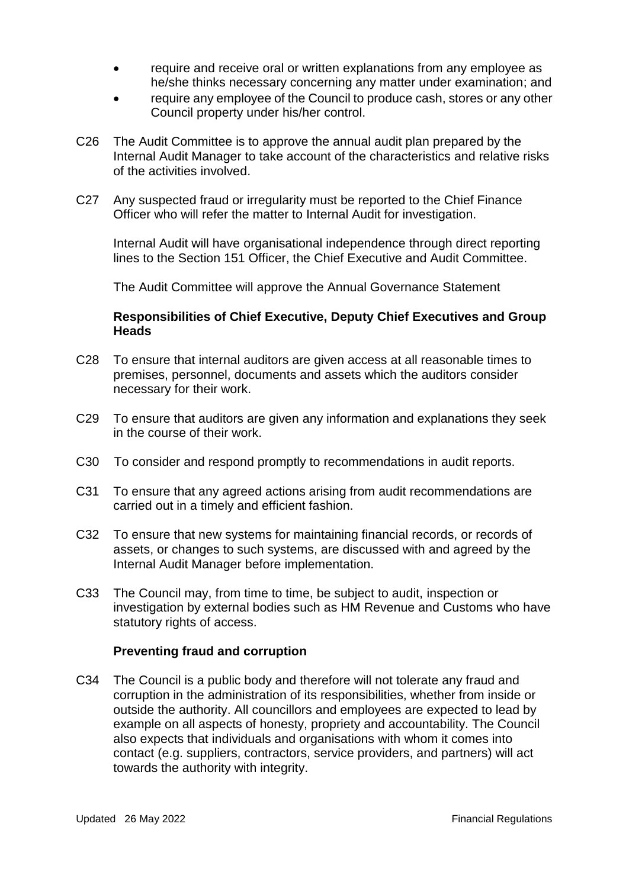- require and receive oral or written explanations from any employee as he/she thinks necessary concerning any matter under examination; and
- require any employee of the Council to produce cash, stores or any other Council property under his/her control.
- C26 The Audit Committee is to approve the annual audit plan prepared by the Internal Audit Manager to take account of the characteristics and relative risks of the activities involved.
- C27 Any suspected fraud or irregularity must be reported to the Chief Finance Officer who will refer the matter to Internal Audit for investigation.

Internal Audit will have organisational independence through direct reporting lines to the Section 151 Officer, the Chief Executive and Audit Committee.

The Audit Committee will approve the Annual Governance Statement

#### **Responsibilities of Chief Executive, Deputy Chief Executives and Group Heads**

- C28 To ensure that internal auditors are given access at all reasonable times to premises, personnel, documents and assets which the auditors consider necessary for their work.
- C29 To ensure that auditors are given any information and explanations they seek in the course of their work.
- C30 To consider and respond promptly to recommendations in audit reports.
- C31 To ensure that any agreed actions arising from audit recommendations are carried out in a timely and efficient fashion.
- C32 To ensure that new systems for maintaining financial records, or records of assets, or changes to such systems, are discussed with and agreed by the Internal Audit Manager before implementation.
- C33 The Council may, from time to time, be subject to audit, inspection or investigation by external bodies such as HM Revenue and Customs who have statutory rights of access.

#### **Preventing fraud and corruption**

C34 The Council is a public body and therefore will not tolerate any fraud and corruption in the administration of its responsibilities, whether from inside or outside the authority. All councillors and employees are expected to lead by example on all aspects of honesty, propriety and accountability. The Council also expects that individuals and organisations with whom it comes into contact (e.g. suppliers, contractors, service providers, and partners) will act towards the authority with integrity.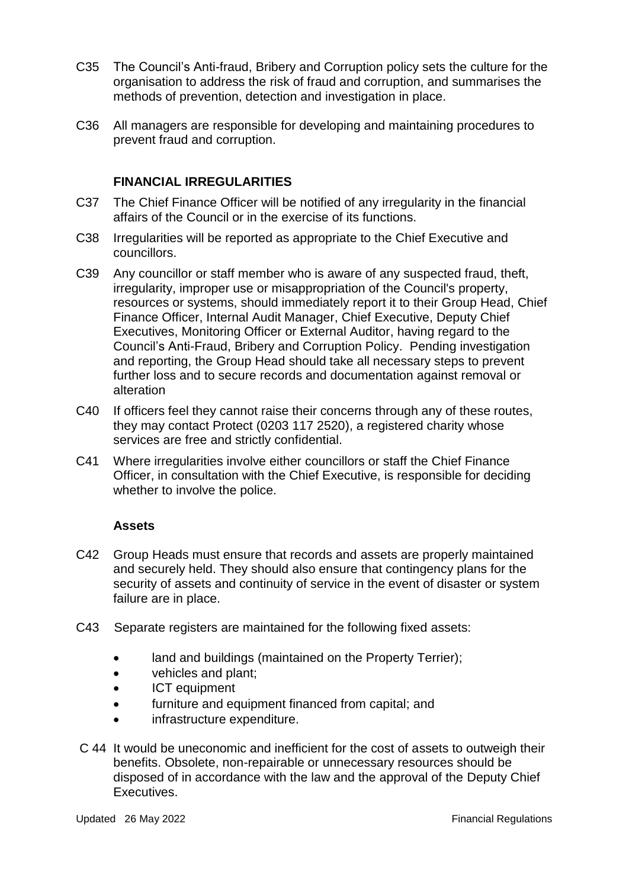- C35 The Council's Anti-fraud, Bribery and Corruption policy sets the culture for the organisation to address the risk of fraud and corruption, and summarises the methods of prevention, detection and investigation in place.
- C36 All managers are responsible for developing and maintaining procedures to prevent fraud and corruption.

## **FINANCIAL IRREGULARITIES**

- C37 The Chief Finance Officer will be notified of any irregularity in the financial affairs of the Council or in the exercise of its functions.
- C38 Irregularities will be reported as appropriate to the Chief Executive and councillors.
- C39 Any councillor or staff member who is aware of any suspected fraud, theft, irregularity, improper use or misappropriation of the Council's property, resources or systems, should immediately report it to their Group Head, Chief Finance Officer, Internal Audit Manager, Chief Executive, Deputy Chief Executives, Monitoring Officer or External Auditor, having regard to the Council's Anti-Fraud, Bribery and Corruption Policy. Pending investigation and reporting, the Group Head should take all necessary steps to prevent further loss and to secure records and documentation against removal or alteration
- C40 If officers feel they cannot raise their concerns through any of these routes, they may contact Protect (0203 117 2520), a registered charity whose services are free and strictly confidential.
- C41 Where irregularities involve either councillors or staff the Chief Finance Officer, in consultation with the Chief Executive, is responsible for deciding whether to involve the police.

#### **Assets**

- C42 Group Heads must ensure that records and assets are properly maintained and securely held. They should also ensure that contingency plans for the security of assets and continuity of service in the event of disaster or system failure are in place.
- C43 Separate registers are maintained for the following fixed assets:
	- land and buildings (maintained on the Property Terrier);
	- vehicles and plant;
	- ICT equipment
	- furniture and equipment financed from capital; and
	- infrastructure expenditure.
- C 44 It would be uneconomic and inefficient for the cost of assets to outweigh their benefits. Obsolete, non-repairable or unnecessary resources should be disposed of in accordance with the law and the approval of the Deputy Chief Executives.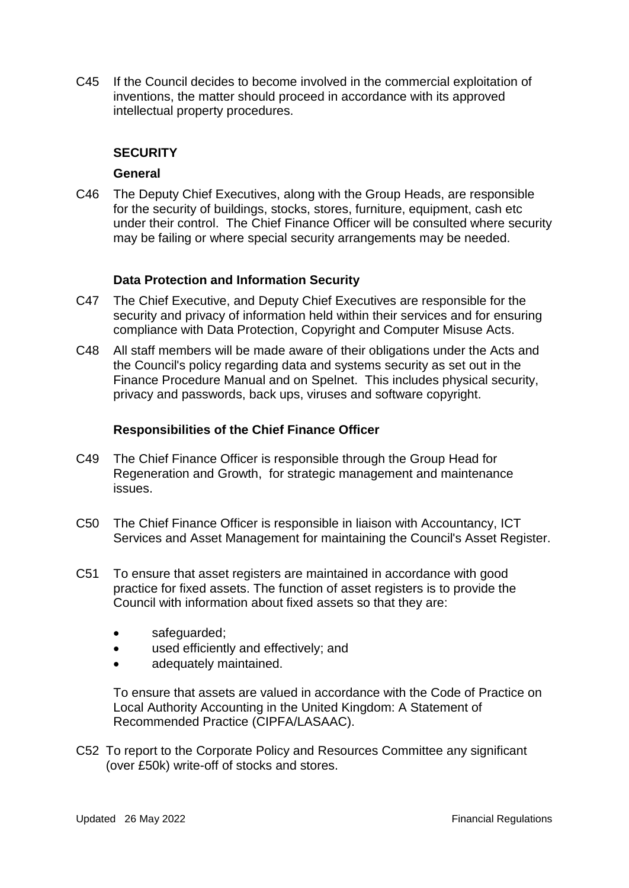C45 If the Council decides to become involved in the commercial exploitation of inventions, the matter should proceed in accordance with its approved intellectual property procedures.

#### **SECURITY**

#### **General**

C46 The Deputy Chief Executives, along with the Group Heads, are responsible for the security of buildings, stocks, stores, furniture, equipment, cash etc under their control. The Chief Finance Officer will be consulted where security may be failing or where special security arrangements may be needed.

#### **Data Protection and Information Security**

- C47 The Chief Executive, and Deputy Chief Executives are responsible for the security and privacy of information held within their services and for ensuring compliance with Data Protection, Copyright and Computer Misuse Acts.
- C48 All staff members will be made aware of their obligations under the Acts and the Council's policy regarding data and systems security as set out in the Finance Procedure Manual and on Spelnet. This includes physical security, privacy and passwords, back ups, viruses and software copyright.

#### **Responsibilities of the Chief Finance Officer**

- C49 The Chief Finance Officer is responsible through the Group Head for Regeneration and Growth, for strategic management and maintenance issues.
- C50 The Chief Finance Officer is responsible in liaison with Accountancy, ICT Services and Asset Management for maintaining the Council's Asset Register.
- C51 To ensure that asset registers are maintained in accordance with good practice for fixed assets. The function of asset registers is to provide the Council with information about fixed assets so that they are:
	- safeguarded;
	- used efficiently and effectively; and
	- adequately maintained.

To ensure that assets are valued in accordance with the Code of Practice on Local Authority Accounting in the United Kingdom: A Statement of Recommended Practice (CIPFA/LASAAC).

C52 To report to the Corporate Policy and Resources Committee any significant (over £50k) write-off of stocks and stores.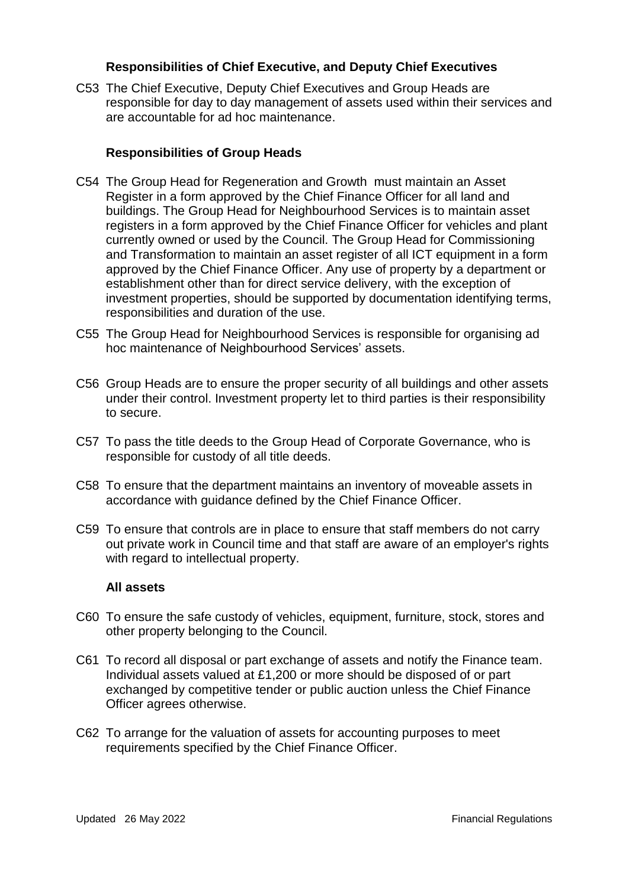#### **Responsibilities of Chief Executive, and Deputy Chief Executives**

C53 The Chief Executive, Deputy Chief Executives and Group Heads are responsible for day to day management of assets used within their services and are accountable for ad hoc maintenance.

#### **Responsibilities of Group Heads**

- C54 The Group Head for Regeneration and Growth must maintain an Asset Register in a form approved by the Chief Finance Officer for all land and buildings. The Group Head for Neighbourhood Services is to maintain asset registers in a form approved by the Chief Finance Officer for vehicles and plant currently owned or used by the Council. The Group Head for Commissioning and Transformation to maintain an asset register of all ICT equipment in a form approved by the Chief Finance Officer. Any use of property by a department or establishment other than for direct service delivery, with the exception of investment properties, should be supported by documentation identifying terms, responsibilities and duration of the use.
- C55 The Group Head for Neighbourhood Services is responsible for organising ad hoc maintenance of Neighbourhood Services' assets.
- C56 Group Heads are to ensure the proper security of all buildings and other assets under their control. Investment property let to third parties is their responsibility to secure.
- C57 To pass the title deeds to the Group Head of Corporate Governance, who is responsible for custody of all title deeds.
- C58 To ensure that the department maintains an inventory of moveable assets in accordance with guidance defined by the Chief Finance Officer.
- C59 To ensure that controls are in place to ensure that staff members do not carry out private work in Council time and that staff are aware of an employer's rights with regard to intellectual property.

#### **All assets**

- C60 To ensure the safe custody of vehicles, equipment, furniture, stock, stores and other property belonging to the Council.
- C61 To record all disposal or part exchange of assets and notify the Finance team. Individual assets valued at £1,200 or more should be disposed of or part exchanged by competitive tender or public auction unless the Chief Finance Officer agrees otherwise.
- C62 To arrange for the valuation of assets for accounting purposes to meet requirements specified by the Chief Finance Officer.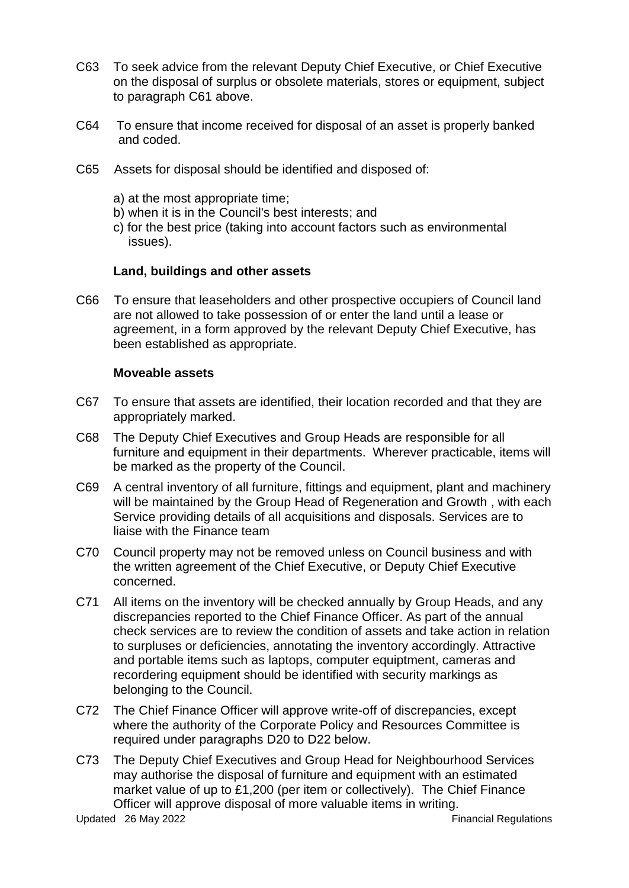- C63 To seek advice from the relevant Deputy Chief Executive, or Chief Executive on the disposal of surplus or obsolete materials, stores or equipment, subject to paragraph C61 above.
- C64 To ensure that income received for disposal of an asset is properly banked and coded.
- C65 Assets for disposal should be identified and disposed of:
	- a) at the most appropriate time;
	- b) when it is in the Council's best interests; and
	- c) for the best price (taking into account factors such as environmental issues).

#### **Land, buildings and other assets**

C66 To ensure that leaseholders and other prospective occupiers of Council land are not allowed to take possession of or enter the land until a lease or agreement, in a form approved by the relevant Deputy Chief Executive, has been established as appropriate.

#### **Moveable assets**

- C67 To ensure that assets are identified, their location recorded and that they are appropriately marked.
- C68 The Deputy Chief Executives and Group Heads are responsible for all furniture and equipment in their departments. Wherever practicable, items will be marked as the property of the Council.
- C69 A central inventory of all furniture, fittings and equipment, plant and machinery will be maintained by the Group Head of Regeneration and Growth , with each Service providing details of all acquisitions and disposals. Services are to liaise with the Finance team
- C70 Council property may not be removed unless on Council business and with the written agreement of the Chief Executive, or Deputy Chief Executive concerned.
- C71 All items on the inventory will be checked annually by Group Heads, and any discrepancies reported to the Chief Finance Officer. As part of the annual check services are to review the condition of assets and take action in relation to surpluses or deficiencies, annotating the inventory accordingly. Attractive and portable items such as laptops, computer equiptment, cameras and recordering equipment should be identified with security markings as belonging to the Council.
- C72 The Chief Finance Officer will approve write-off of discrepancies, except where the authority of the Corporate Policy and Resources Committee is required under paragraphs D20 to D22 below.
- C73 The Deputy Chief Executives and Group Head for Neighbourhood Services may authorise the disposal of furniture and equipment with an estimated market value of up to £1,200 (per item or collectively). The Chief Finance Officer will approve disposal of more valuable items in writing.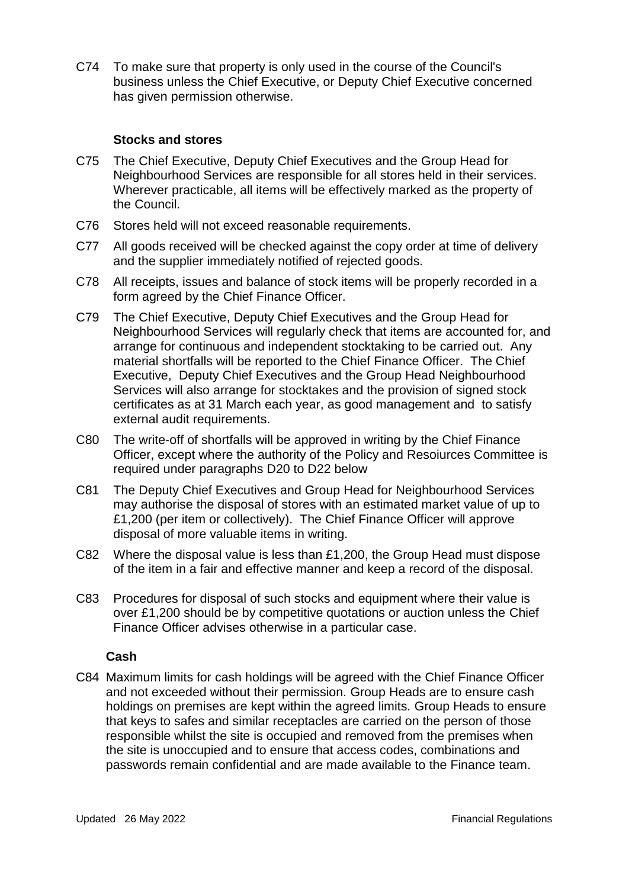C74 To make sure that property is only used in the course of the Council's business unless the Chief Executive, or Deputy Chief Executive concerned has given permission otherwise.

#### **Stocks and stores**

- C75 The Chief Executive, Deputy Chief Executives and the Group Head for Neighbourhood Services are responsible for all stores held in their services. Wherever practicable, all items will be effectively marked as the property of the Council.
- C76 Stores held will not exceed reasonable requirements.
- C77 All goods received will be checked against the copy order at time of delivery and the supplier immediately notified of rejected goods.
- C78 All receipts, issues and balance of stock items will be properly recorded in a form agreed by the Chief Finance Officer.
- C79 The Chief Executive, Deputy Chief Executives and the Group Head for Neighbourhood Services will regularly check that items are accounted for, and arrange for continuous and independent stocktaking to be carried out. Any material shortfalls will be reported to the Chief Finance Officer. The Chief Executive, Deputy Chief Executives and the Group Head Neighbourhood Services will also arrange for stocktakes and the provision of signed stock certificates as at 31 March each year, as good management and to satisfy external audit requirements.
- C80 The write-off of shortfalls will be approved in writing by the Chief Finance Officer, except where the authority of the Policy and Resoiurces Committee is required under paragraphs D20 to D22 below
- C81 The Deputy Chief Executives and Group Head for Neighbourhood Services may authorise the disposal of stores with an estimated market value of up to £1,200 (per item or collectively). The Chief Finance Officer will approve disposal of more valuable items in writing.
- C82 Where the disposal value is less than £1,200, the Group Head must dispose of the item in a fair and effective manner and keep a record of the disposal.
- C83 Procedures for disposal of such stocks and equipment where their value is over £1,200 should be by competitive quotations or auction unless the Chief Finance Officer advises otherwise in a particular case.

#### **Cash**

C84 Maximum limits for cash holdings will be agreed with the Chief Finance Officer and not exceeded without their permission. Group Heads are to ensure cash holdings on premises are kept within the agreed limits. Group Heads to ensure that keys to safes and similar receptacles are carried on the person of those responsible whilst the site is occupied and removed from the premises when the site is unoccupied and to ensure that access codes, combinations and passwords remain confidential and are made available to the Finance team.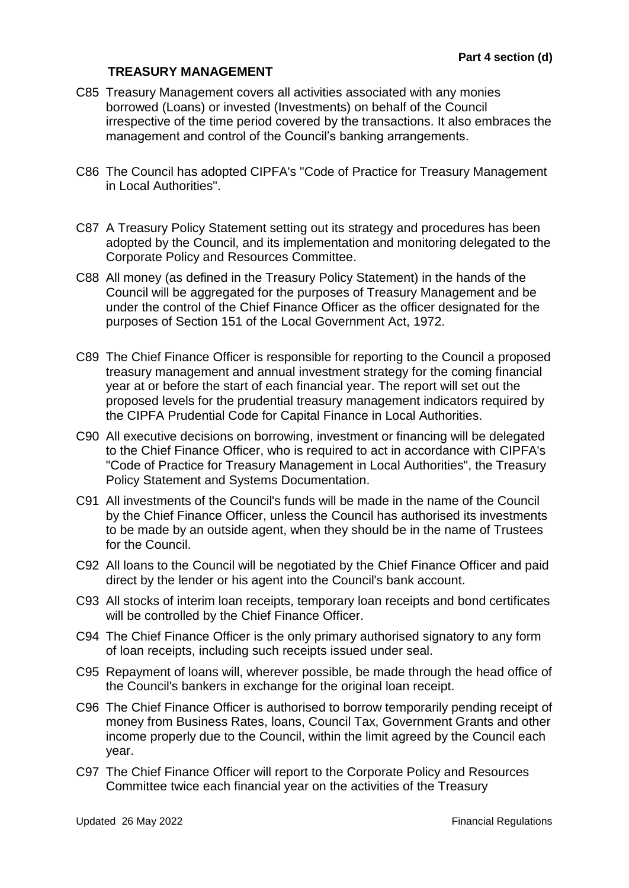#### **TREASURY MANAGEMENT**

- C85 Treasury Management covers all activities associated with any monies borrowed (Loans) or invested (Investments) on behalf of the Council irrespective of the time period covered by the transactions. It also embraces the management and control of the Council's banking arrangements.
- C86 The Council has adopted CIPFA's "Code of Practice for Treasury Management in Local Authorities".
- C87 A Treasury Policy Statement setting out its strategy and procedures has been adopted by the Council, and its implementation and monitoring delegated to the Corporate Policy and Resources Committee.
- C88 All money (as defined in the Treasury Policy Statement) in the hands of the Council will be aggregated for the purposes of Treasury Management and be under the control of the Chief Finance Officer as the officer designated for the purposes of Section 151 of the Local Government Act, 1972.
- C89 The Chief Finance Officer is responsible for reporting to the Council a proposed treasury management and annual investment strategy for the coming financial year at or before the start of each financial year. The report will set out the proposed levels for the prudential treasury management indicators required by the CIPFA Prudential Code for Capital Finance in Local Authorities.
- C90 All executive decisions on borrowing, investment or financing will be delegated to the Chief Finance Officer, who is required to act in accordance with CIPFA's "Code of Practice for Treasury Management in Local Authorities", the Treasury Policy Statement and Systems Documentation.
- C91 All investments of the Council's funds will be made in the name of the Council by the Chief Finance Officer, unless the Council has authorised its investments to be made by an outside agent, when they should be in the name of Trustees for the Council.
- C92 All loans to the Council will be negotiated by the Chief Finance Officer and paid direct by the lender or his agent into the Council's bank account.
- C93 All stocks of interim loan receipts, temporary loan receipts and bond certificates will be controlled by the Chief Finance Officer.
- C94 The Chief Finance Officer is the only primary authorised signatory to any form of loan receipts, including such receipts issued under seal.
- C95 Repayment of loans will, wherever possible, be made through the head office of the Council's bankers in exchange for the original loan receipt.
- C96 The Chief Finance Officer is authorised to borrow temporarily pending receipt of money from Business Rates, loans, Council Tax, Government Grants and other income properly due to the Council, within the limit agreed by the Council each year.
- C97 The Chief Finance Officer will report to the Corporate Policy and Resources Committee twice each financial year on the activities of the Treasury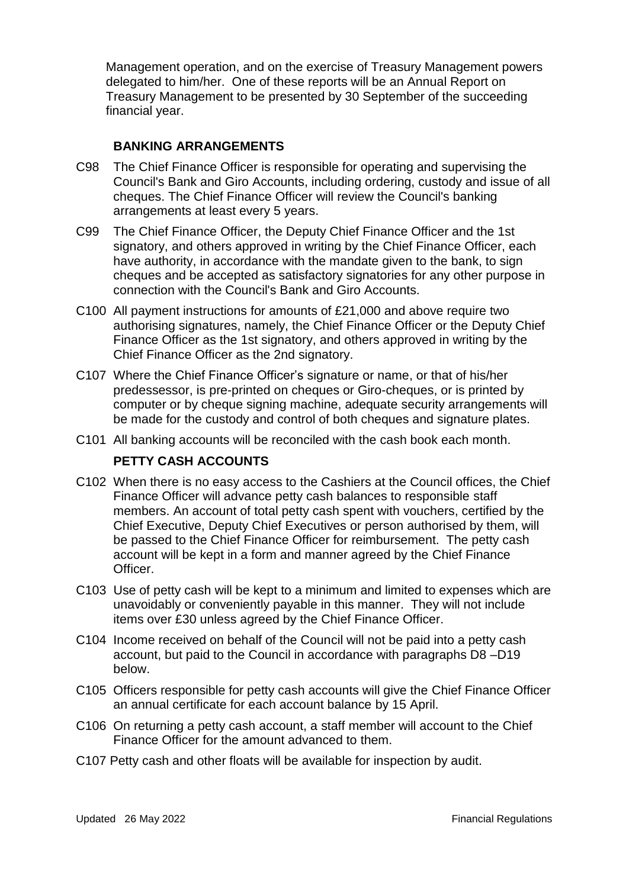Management operation, and on the exercise of Treasury Management powers delegated to him/her. One of these reports will be an Annual Report on Treasury Management to be presented by 30 September of the succeeding financial year.

## **BANKING ARRANGEMENTS**

- C98 The Chief Finance Officer is responsible for operating and supervising the Council's Bank and Giro Accounts, including ordering, custody and issue of all cheques. The Chief Finance Officer will review the Council's banking arrangements at least every 5 years.
- C99 The Chief Finance Officer, the Deputy Chief Finance Officer and the 1st signatory, and others approved in writing by the Chief Finance Officer, each have authority, in accordance with the mandate given to the bank, to sign cheques and be accepted as satisfactory signatories for any other purpose in connection with the Council's Bank and Giro Accounts.
- C100 All payment instructions for amounts of £21,000 and above require two authorising signatures, namely, the Chief Finance Officer or the Deputy Chief Finance Officer as the 1st signatory, and others approved in writing by the Chief Finance Officer as the 2nd signatory.
- C107 Where the Chief Finance Officer's signature or name, or that of his/her predessessor, is pre-printed on cheques or Giro-cheques, or is printed by computer or by cheque signing machine, adequate security arrangements will be made for the custody and control of both cheques and signature plates.
- C101 All banking accounts will be reconciled with the cash book each month.

#### **PETTY CASH ACCOUNTS**

- C102 When there is no easy access to the Cashiers at the Council offices, the Chief Finance Officer will advance petty cash balances to responsible staff members. An account of total petty cash spent with vouchers, certified by the Chief Executive, Deputy Chief Executives or person authorised by them, will be passed to the Chief Finance Officer for reimbursement. The petty cash account will be kept in a form and manner agreed by the Chief Finance Officer.
- C103 Use of petty cash will be kept to a minimum and limited to expenses which are unavoidably or conveniently payable in this manner. They will not include items over £30 unless agreed by the Chief Finance Officer.
- C104 Income received on behalf of the Council will not be paid into a petty cash account, but paid to the Council in accordance with paragraphs D8 –D19 below.
- C105 Officers responsible for petty cash accounts will give the Chief Finance Officer an annual certificate for each account balance by 15 April.
- C106 On returning a petty cash account, a staff member will account to the Chief Finance Officer for the amount advanced to them.
- C107 Petty cash and other floats will be available for inspection by audit.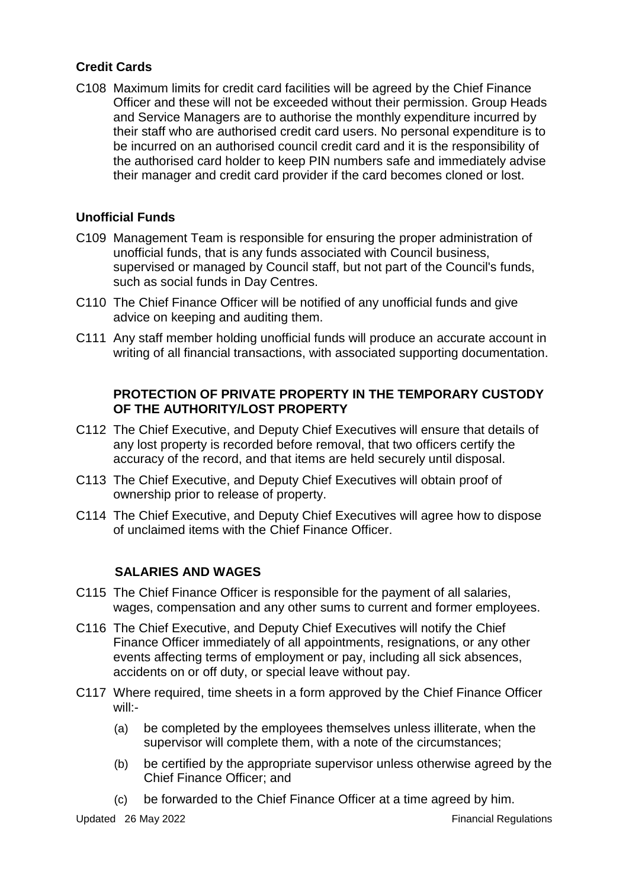## **Credit Cards**

C108 Maximum limits for credit card facilities will be agreed by the Chief Finance Officer and these will not be exceeded without their permission. Group Heads and Service Managers are to authorise the monthly expenditure incurred by their staff who are authorised credit card users. No personal expenditure is to be incurred on an authorised council credit card and it is the responsibility of the authorised card holder to keep PIN numbers safe and immediately advise their manager and credit card provider if the card becomes cloned or lost.

## **Unofficial Funds**

- C109 Management Team is responsible for ensuring the proper administration of unofficial funds, that is any funds associated with Council business, supervised or managed by Council staff, but not part of the Council's funds, such as social funds in Day Centres.
- C110 The Chief Finance Officer will be notified of any unofficial funds and give advice on keeping and auditing them.
- C111 Any staff member holding unofficial funds will produce an accurate account in writing of all financial transactions, with associated supporting documentation.

## **PROTECTION OF PRIVATE PROPERTY IN THE TEMPORARY CUSTODY OF THE AUTHORITY/LOST PROPERTY**

- C112 The Chief Executive, and Deputy Chief Executives will ensure that details of any lost property is recorded before removal, that two officers certify the accuracy of the record, and that items are held securely until disposal.
- C113 The Chief Executive, and Deputy Chief Executives will obtain proof of ownership prior to release of property.
- C114 The Chief Executive, and Deputy Chief Executives will agree how to dispose of unclaimed items with the Chief Finance Officer.

#### **SALARIES AND WAGES**

- C115 The Chief Finance Officer is responsible for the payment of all salaries, wages, compensation and any other sums to current and former employees.
- C116 The Chief Executive, and Deputy Chief Executives will notify the Chief Finance Officer immediately of all appointments, resignations, or any other events affecting terms of employment or pay, including all sick absences, accidents on or off duty, or special leave without pay.
- C117 Where required, time sheets in a form approved by the Chief Finance Officer will:-
	- (a) be completed by the employees themselves unless illiterate, when the supervisor will complete them, with a note of the circumstances;
	- (b) be certified by the appropriate supervisor unless otherwise agreed by the Chief Finance Officer; and
	- (c) be forwarded to the Chief Finance Officer at a time agreed by him.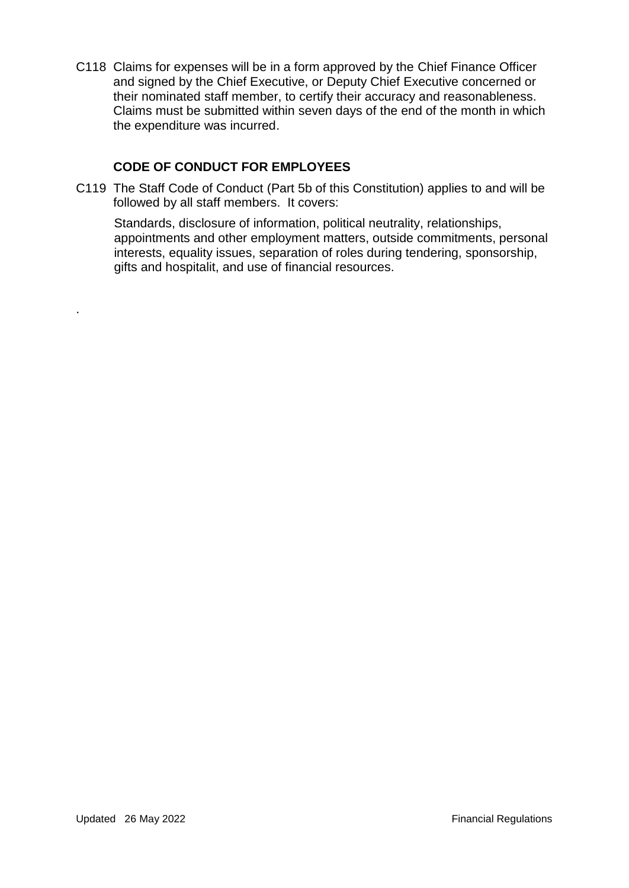C118 Claims for expenses will be in a form approved by the Chief Finance Officer and signed by the Chief Executive, or Deputy Chief Executive concerned or their nominated staff member, to certify their accuracy and reasonableness. Claims must be submitted within seven days of the end of the month in which the expenditure was incurred.

## **CODE OF CONDUCT FOR EMPLOYEES**

C119 The Staff Code of Conduct (Part 5b of this Constitution) applies to and will be followed by all staff members. It covers:

Standards, disclosure of information, political neutrality, relationships, appointments and other employment matters, outside commitments, personal interests, equality issues, separation of roles during tendering, sponsorship, gifts and hospitalit, and use of financial resources.

.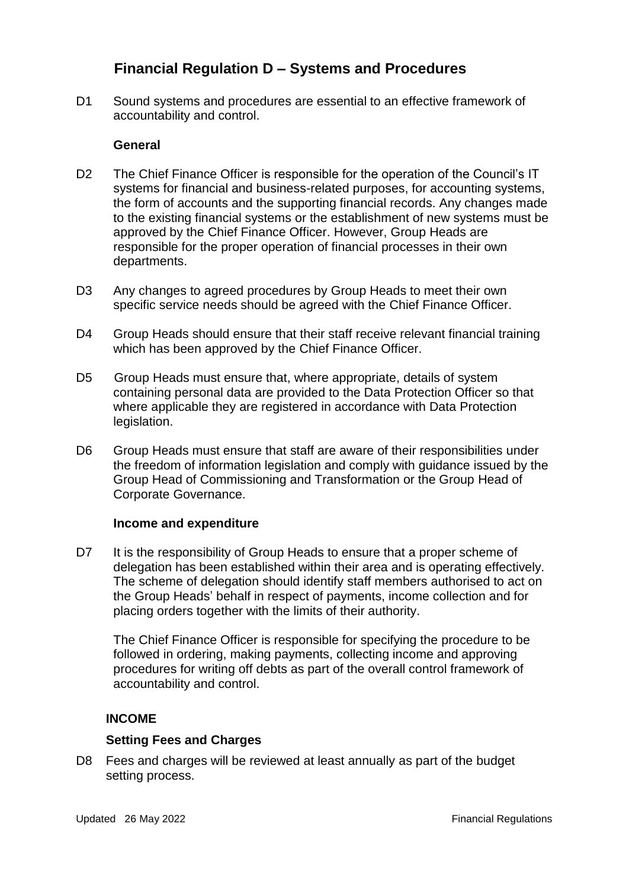# **Financial Regulation D – Systems and Procedures**

D1 Sound systems and procedures are essential to an effective framework of accountability and control.

## **General**

- D2 The Chief Finance Officer is responsible for the operation of the Council's IT systems for financial and business-related purposes, for accounting systems, the form of accounts and the supporting financial records. Any changes made to the existing financial systems or the establishment of new systems must be approved by the Chief Finance Officer. However, Group Heads are responsible for the proper operation of financial processes in their own departments.
- D3 Any changes to agreed procedures by Group Heads to meet their own specific service needs should be agreed with the Chief Finance Officer.
- D4 Group Heads should ensure that their staff receive relevant financial training which has been approved by the Chief Finance Officer.
- D5 Group Heads must ensure that, where appropriate, details of system containing personal data are provided to the Data Protection Officer so that where applicable they are registered in accordance with Data Protection legislation.
- D6 Group Heads must ensure that staff are aware of their responsibilities under the freedom of information legislation and comply with guidance issued by the Group Head of Commissioning and Transformation or the Group Head of Corporate Governance.

#### **Income and expenditure**

D7 It is the responsibility of Group Heads to ensure that a proper scheme of delegation has been established within their area and is operating effectively. The scheme of delegation should identify staff members authorised to act on the Group Heads' behalf in respect of payments, income collection and for placing orders together with the limits of their authority.

The Chief Finance Officer is responsible for specifying the procedure to be followed in ordering, making payments, collecting income and approving procedures for writing off debts as part of the overall control framework of accountability and control.

## **INCOME**

#### **Setting Fees and Charges**

D8 Fees and charges will be reviewed at least annually as part of the budget setting process.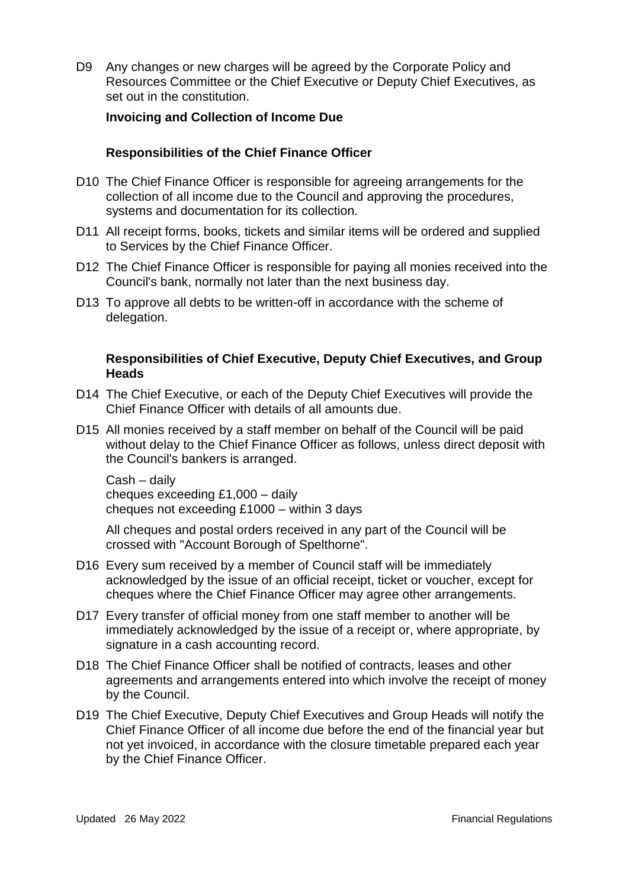D9 Any changes or new charges will be agreed by the Corporate Policy and Resources Committee or the Chief Executive or Deputy Chief Executives, as set out in the constitution.

#### **Invoicing and Collection of Income Due**

#### **Responsibilities of the Chief Finance Officer**

- D10 The Chief Finance Officer is responsible for agreeing arrangements for the collection of all income due to the Council and approving the procedures, systems and documentation for its collection.
- D11 All receipt forms, books, tickets and similar items will be ordered and supplied to Services by the Chief Finance Officer.
- D12 The Chief Finance Officer is responsible for paying all monies received into the Council's bank, normally not later than the next business day.
- D13 To approve all debts to be written-off in accordance with the scheme of delegation.

#### **Responsibilities of Chief Executive, Deputy Chief Executives, and Group Heads**

- D14 The Chief Executive, or each of the Deputy Chief Executives will provide the Chief Finance Officer with details of all amounts due.
- D15 All monies received by a staff member on behalf of the Council will be paid without delay to the Chief Finance Officer as follows, unless direct deposit with the Council's bankers is arranged.

Cash – daily cheques exceeding £1,000 – daily cheques not exceeding £1000 – within 3 days

 All cheques and postal orders received in any part of the Council will be crossed with "Account Borough of Spelthorne".

- D16 Every sum received by a member of Council staff will be immediately acknowledged by the issue of an official receipt, ticket or voucher, except for cheques where the Chief Finance Officer may agree other arrangements.
- D17 Every transfer of official money from one staff member to another will be immediately acknowledged by the issue of a receipt or, where appropriate, by signature in a cash accounting record.
- D18 The Chief Finance Officer shall be notified of contracts, leases and other agreements and arrangements entered into which involve the receipt of money by the Council.
- D19 The Chief Executive, Deputy Chief Executives and Group Heads will notify the Chief Finance Officer of all income due before the end of the financial year but not yet invoiced, in accordance with the closure timetable prepared each year by the Chief Finance Officer.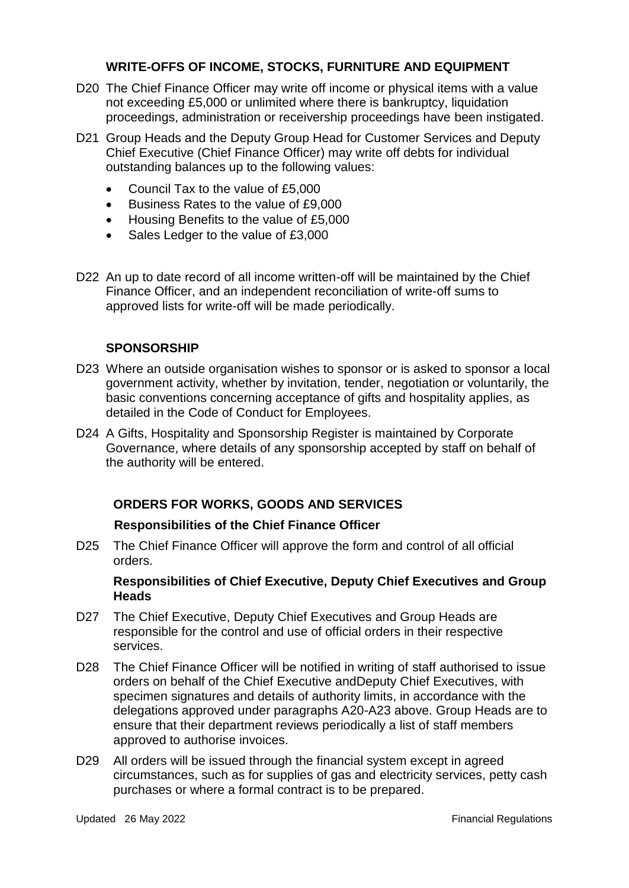## **WRITE-OFFS OF INCOME, STOCKS, FURNITURE AND EQUIPMENT**

- D20 The Chief Finance Officer may write off income or physical items with a value not exceeding £5,000 or unlimited where there is bankruptcy, liquidation proceedings, administration or receivership proceedings have been instigated.
- D21 Group Heads and the Deputy Group Head for Customer Services and Deputy Chief Executive (Chief Finance Officer) may write off debts for individual outstanding balances up to the following values:
	- Council Tax to the value of £5,000
	- Business Rates to the value of £9,000
	- Housing Benefits to the value of £5,000
	- Sales Ledger to the value of £3,000
- D22 An up to date record of all income written-off will be maintained by the Chief Finance Officer, and an independent reconciliation of write-off sums to approved lists for write-off will be made periodically.

#### **SPONSORSHIP**

- D23 Where an outside organisation wishes to sponsor or is asked to sponsor a local government activity, whether by invitation, tender, negotiation or voluntarily, the basic conventions concerning acceptance of gifts and hospitality applies, as detailed in the Code of Conduct for Employees.
- D24 A Gifts, Hospitality and Sponsorship Register is maintained by Corporate Governance, where details of any sponsorship accepted by staff on behalf of the authority will be entered.

## **ORDERS FOR WORKS, GOODS AND SERVICES**

#### **Responsibilities of the Chief Finance Officer**

D25 The Chief Finance Officer will approve the form and control of all official orders.

#### **Responsibilities of Chief Executive, Deputy Chief Executives and Group Heads**

- D27 The Chief Executive, Deputy Chief Executives and Group Heads are responsible for the control and use of official orders in their respective services.
- D28 The Chief Finance Officer will be notified in writing of staff authorised to issue orders on behalf of the Chief Executive andDeputy Chief Executives, with specimen signatures and details of authority limits, in accordance with the delegations approved under paragraphs A20-A23 above. Group Heads are to ensure that their department reviews periodically a list of staff members approved to authorise invoices.
- D29 All orders will be issued through the financial system except in agreed circumstances, such as for supplies of gas and electricity services, petty cash purchases or where a formal contract is to be prepared.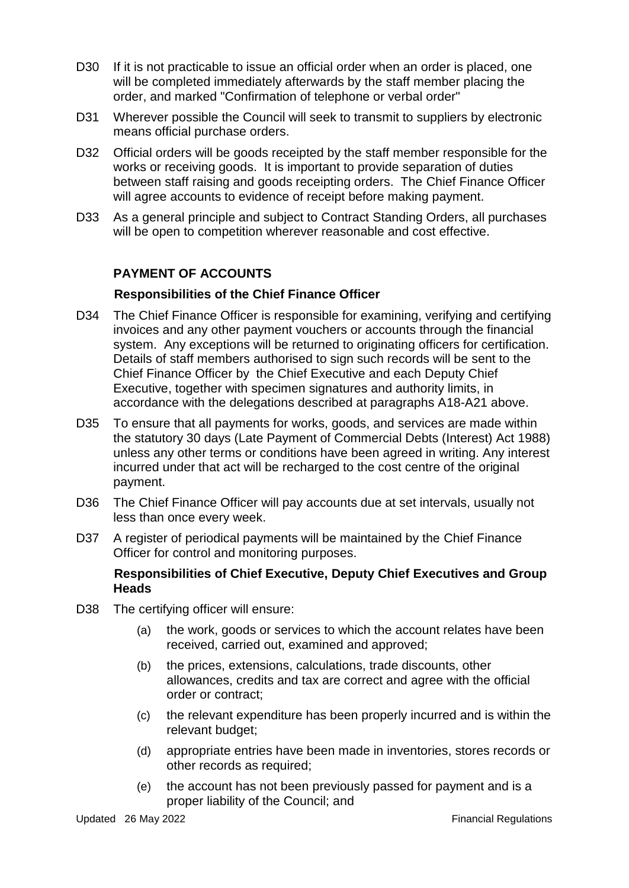- D30 If it is not practicable to issue an official order when an order is placed, one will be completed immediately afterwards by the staff member placing the order, and marked "Confirmation of telephone or verbal order"
- D31 Wherever possible the Council will seek to transmit to suppliers by electronic means official purchase orders.
- D32 Official orders will be goods receipted by the staff member responsible for the works or receiving goods. It is important to provide separation of duties between staff raising and goods receipting orders. The Chief Finance Officer will agree accounts to evidence of receipt before making payment.
- D33 As a general principle and subject to Contract Standing Orders, all purchases will be open to competition wherever reasonable and cost effective.

## **PAYMENT OF ACCOUNTS**

## **Responsibilities of the Chief Finance Officer**

- D34 The Chief Finance Officer is responsible for examining, verifying and certifying invoices and any other payment vouchers or accounts through the financial system. Any exceptions will be returned to originating officers for certification. Details of staff members authorised to sign such records will be sent to the Chief Finance Officer by the Chief Executive and each Deputy Chief Executive, together with specimen signatures and authority limits, in accordance with the delegations described at paragraphs A18-A21 above.
- D35 To ensure that all payments for works, goods, and services are made within the statutory 30 days (Late Payment of Commercial Debts (Interest) Act 1988) unless any other terms or conditions have been agreed in writing. Any interest incurred under that act will be recharged to the cost centre of the original payment.
- D36 The Chief Finance Officer will pay accounts due at set intervals, usually not less than once every week.
- D37 A register of periodical payments will be maintained by the Chief Finance Officer for control and monitoring purposes.

#### **Responsibilities of Chief Executive, Deputy Chief Executives and Group Heads**

- D38 The certifying officer will ensure:
	- (a) the work, goods or services to which the account relates have been received, carried out, examined and approved;
	- (b) the prices, extensions, calculations, trade discounts, other allowances, credits and tax are correct and agree with the official order or contract;
	- (c) the relevant expenditure has been properly incurred and is within the relevant budget;
	- (d) appropriate entries have been made in inventories, stores records or other records as required;
	- (e) the account has not been previously passed for payment and is a proper liability of the Council; and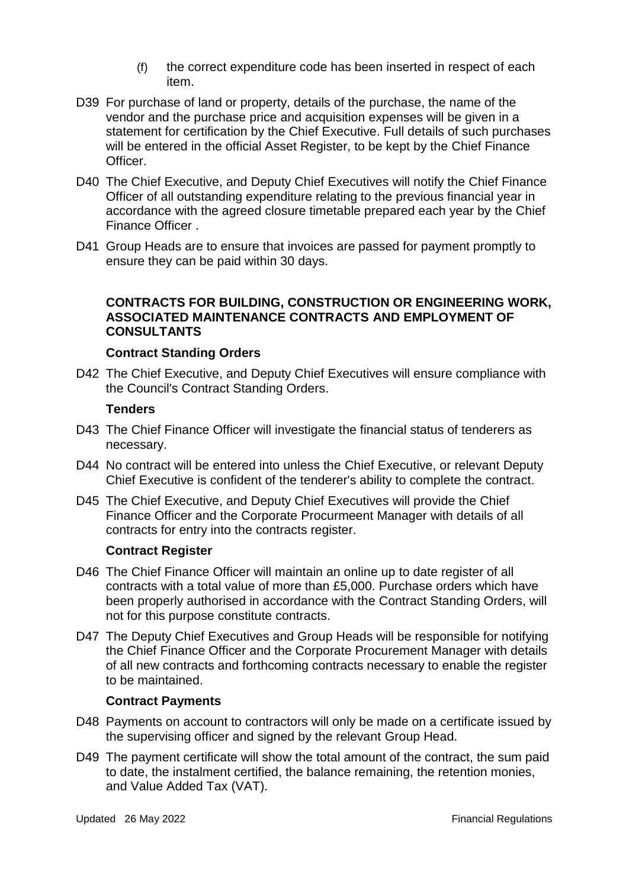- (f) the correct expenditure code has been inserted in respect of each item.
- D39 For purchase of land or property, details of the purchase, the name of the vendor and the purchase price and acquisition expenses will be given in a statement for certification by the Chief Executive. Full details of such purchases will be entered in the official Asset Register, to be kept by the Chief Finance Officer.
- D40 The Chief Executive, and Deputy Chief Executives will notify the Chief Finance Officer of all outstanding expenditure relating to the previous financial year in accordance with the agreed closure timetable prepared each year by the Chief Finance Officer .
- D41 Group Heads are to ensure that invoices are passed for payment promptly to ensure they can be paid within 30 days.

## **CONTRACTS FOR BUILDING, CONSTRUCTION OR ENGINEERING WORK, ASSOCIATED MAINTENANCE CONTRACTS AND EMPLOYMENT OF CONSULTANTS**

#### **Contract Standing Orders**

D42 The Chief Executive, and Deputy Chief Executives will ensure compliance with the Council's Contract Standing Orders.

#### **Tenders**

- D43 The Chief Finance Officer will investigate the financial status of tenderers as necessary.
- D44 No contract will be entered into unless the Chief Executive, or relevant Deputy Chief Executive is confident of the tenderer's ability to complete the contract.
- D45 The Chief Executive, and Deputy Chief Executives will provide the Chief Finance Officer and the Corporate Procurmeent Manager with details of all contracts for entry into the contracts register.

#### **Contract Register**

- D46 The Chief Finance Officer will maintain an online up to date register of all contracts with a total value of more than £5,000. Purchase orders which have been properly authorised in accordance with the Contract Standing Orders, will not for this purpose constitute contracts.
- D47 The Deputy Chief Executives and Group Heads will be responsible for notifying the Chief Finance Officer and the Corporate Procurement Manager with details of all new contracts and forthcoming contracts necessary to enable the register to be maintained.

#### **Contract Payments**

- D48 Payments on account to contractors will only be made on a certificate issued by the supervising officer and signed by the relevant Group Head.
- D49 The payment certificate will show the total amount of the contract, the sum paid to date, the instalment certified, the balance remaining, the retention monies, and Value Added Tax (VAT).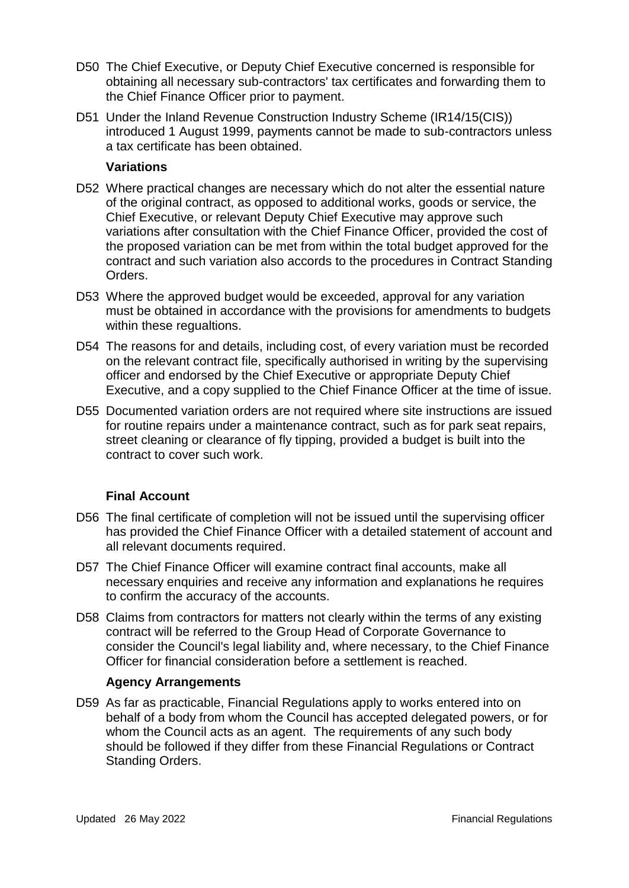- D50 The Chief Executive, or Deputy Chief Executive concerned is responsible for obtaining all necessary sub-contractors' tax certificates and forwarding them to the Chief Finance Officer prior to payment.
- D51 Under the Inland Revenue Construction Industry Scheme (IR14/15(CIS)) introduced 1 August 1999, payments cannot be made to sub-contractors unless a tax certificate has been obtained.

#### **Variations**

- D52 Where practical changes are necessary which do not alter the essential nature of the original contract, as opposed to additional works, goods or service, the Chief Executive, or relevant Deputy Chief Executive may approve such variations after consultation with the Chief Finance Officer, provided the cost of the proposed variation can be met from within the total budget approved for the contract and such variation also accords to the procedures in Contract Standing Orders.
- D53 Where the approved budget would be exceeded, approval for any variation must be obtained in accordance with the provisions for amendments to budgets within these regualtions.
- D54 The reasons for and details, including cost, of every variation must be recorded on the relevant contract file, specifically authorised in writing by the supervising officer and endorsed by the Chief Executive or appropriate Deputy Chief Executive, and a copy supplied to the Chief Finance Officer at the time of issue.
- D55 Documented variation orders are not required where site instructions are issued for routine repairs under a maintenance contract, such as for park seat repairs, street cleaning or clearance of fly tipping, provided a budget is built into the contract to cover such work.

## **Final Account**

- D56 The final certificate of completion will not be issued until the supervising officer has provided the Chief Finance Officer with a detailed statement of account and all relevant documents required.
- D57 The Chief Finance Officer will examine contract final accounts, make all necessary enquiries and receive any information and explanations he requires to confirm the accuracy of the accounts.
- D58 Claims from contractors for matters not clearly within the terms of any existing contract will be referred to the Group Head of Corporate Governance to consider the Council's legal liability and, where necessary, to the Chief Finance Officer for financial consideration before a settlement is reached.

#### **Agency Arrangements**

D59 As far as practicable, Financial Regulations apply to works entered into on behalf of a body from whom the Council has accepted delegated powers, or for whom the Council acts as an agent. The requirements of any such body should be followed if they differ from these Financial Regulations or Contract Standing Orders.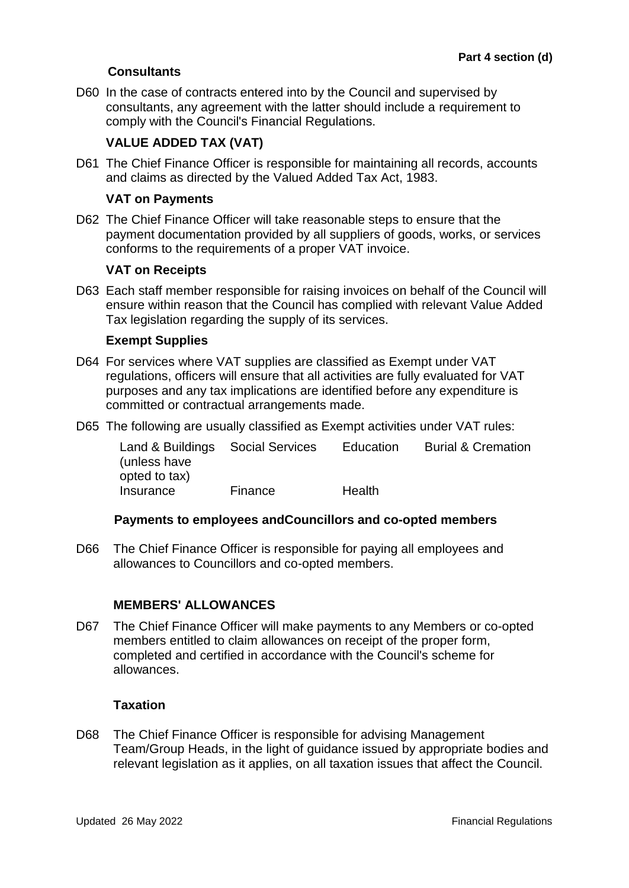## **Consultants**

D60 In the case of contracts entered into by the Council and supervised by consultants, any agreement with the latter should include a requirement to comply with the Council's Financial Regulations.

## **VALUE ADDED TAX (VAT)**

D61 The Chief Finance Officer is responsible for maintaining all records, accounts and claims as directed by the Valued Added Tax Act, 1983.

#### **VAT on Payments**

D62 The Chief Finance Officer will take reasonable steps to ensure that the payment documentation provided by all suppliers of goods, works, or services conforms to the requirements of a proper VAT invoice.

#### **VAT on Receipts**

D63 Each staff member responsible for raising invoices on behalf of the Council will ensure within reason that the Council has complied with relevant Value Added Tax legislation regarding the supply of its services.

#### **Exempt Supplies**

- D64 For services where VAT supplies are classified as Exempt under VAT regulations, officers will ensure that all activities are fully evaluated for VAT purposes and any tax implications are identified before any expenditure is committed or contractual arrangements made.
- D65 The following are usually classified as Exempt activities under VAT rules:

| Land & Buildings Social Services |         | Education | <b>Burial &amp; Cremation</b> |
|----------------------------------|---------|-----------|-------------------------------|
| (unless have                     |         |           |                               |
| opted to tax)                    |         |           |                               |
| Insurance                        | Finance | Health    |                               |

#### **Payments to employees andCouncillors and co-opted members**

D66 The Chief Finance Officer is responsible for paying all employees and allowances to Councillors and co-opted members.

#### **MEMBERS' ALLOWANCES**

D67 The Chief Finance Officer will make payments to any Members or co-opted members entitled to claim allowances on receipt of the proper form, completed and certified in accordance with the Council's scheme for allowances.

#### **Taxation**

D68 The Chief Finance Officer is responsible for advising Management Team/Group Heads, in the light of guidance issued by appropriate bodies and relevant legislation as it applies, on all taxation issues that affect the Council.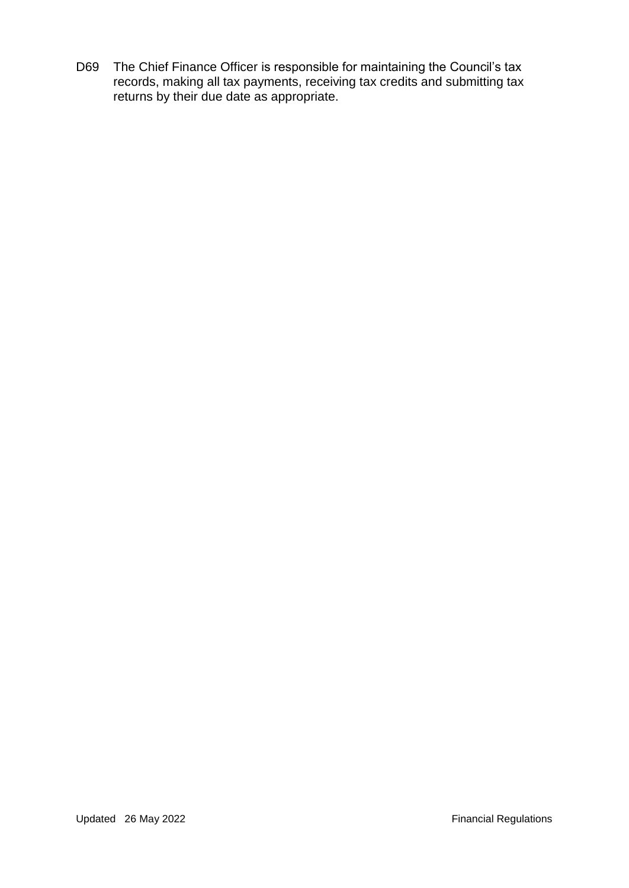D69 The Chief Finance Officer is responsible for maintaining the Council's tax records, making all tax payments, receiving tax credits and submitting tax returns by their due date as appropriate.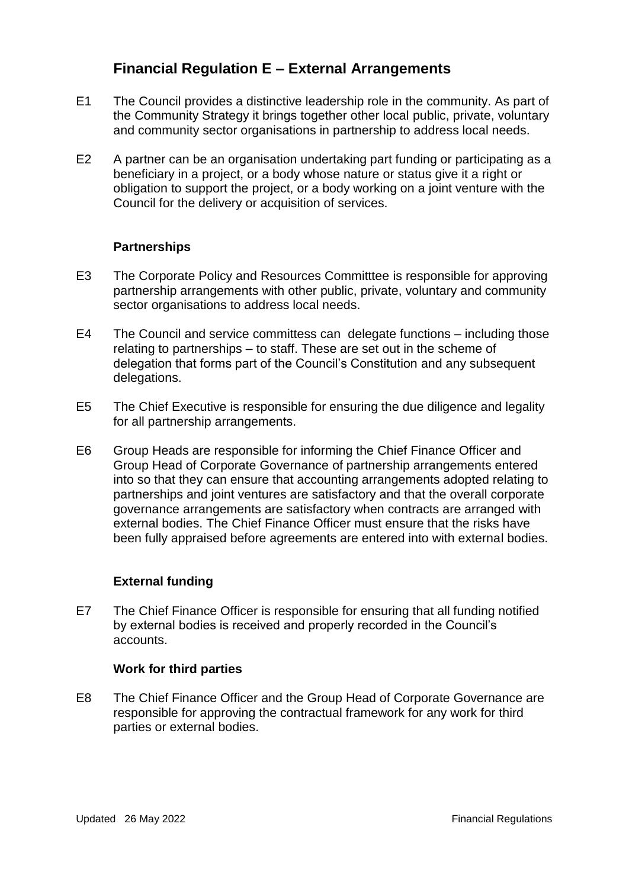# **Financial Regulation E – External Arrangements**

- E1 The Council provides a distinctive leadership role in the community. As part of the Community Strategy it brings together other local public, private, voluntary and community sector organisations in partnership to address local needs.
- E2 A partner can be an organisation undertaking part funding or participating as a beneficiary in a project, or a body whose nature or status give it a right or obligation to support the project, or a body working on a joint venture with the Council for the delivery or acquisition of services.

#### **Partnerships**

- E3 The Corporate Policy and Resources Committtee is responsible for approving partnership arrangements with other public, private, voluntary and community sector organisations to address local needs.
- E4 The Council and service committess can delegate functions including those relating to partnerships – to staff. These are set out in the scheme of delegation that forms part of the Council's Constitution and any subsequent delegations.
- E5 The Chief Executive is responsible for ensuring the due diligence and legality for all partnership arrangements.
- E6 Group Heads are responsible for informing the Chief Finance Officer and Group Head of Corporate Governance of partnership arrangements entered into so that they can ensure that accounting arrangements adopted relating to partnerships and joint ventures are satisfactory and that the overall corporate governance arrangements are satisfactory when contracts are arranged with external bodies. The Chief Finance Officer must ensure that the risks have been fully appraised before agreements are entered into with external bodies.

#### **External funding**

E7 The Chief Finance Officer is responsible for ensuring that all funding notified by external bodies is received and properly recorded in the Council's accounts.

#### **Work for third parties**

E8 The Chief Finance Officer and the Group Head of Corporate Governance are responsible for approving the contractual framework for any work for third parties or external bodies.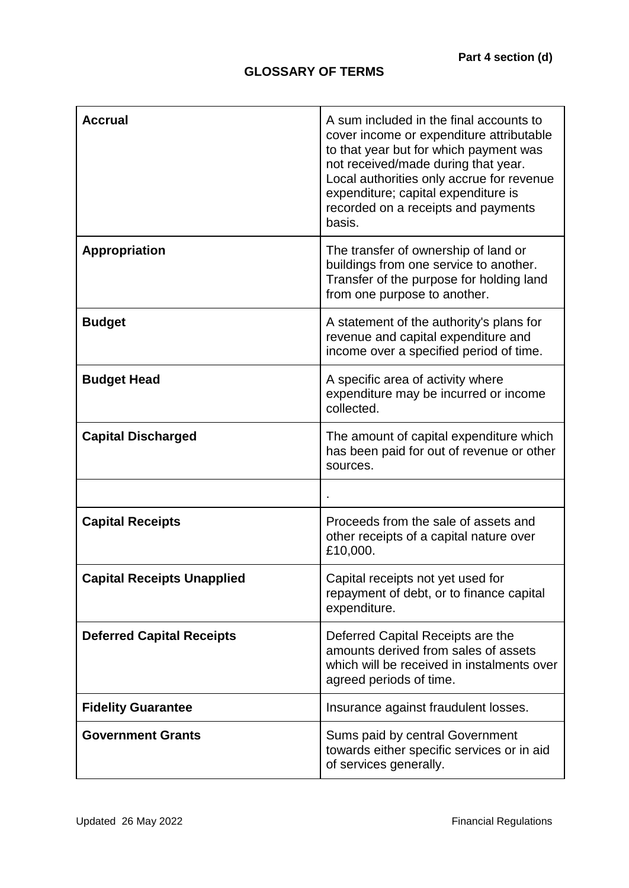# **GLOSSARY OF TERMS**

| <b>Accrual</b>                    | A sum included in the final accounts to<br>cover income or expenditure attributable<br>to that year but for which payment was<br>not received/made during that year.<br>Local authorities only accrue for revenue<br>expenditure; capital expenditure is<br>recorded on a receipts and payments<br>basis. |
|-----------------------------------|-----------------------------------------------------------------------------------------------------------------------------------------------------------------------------------------------------------------------------------------------------------------------------------------------------------|
| <b>Appropriation</b>              | The transfer of ownership of land or<br>buildings from one service to another.<br>Transfer of the purpose for holding land<br>from one purpose to another.                                                                                                                                                |
| <b>Budget</b>                     | A statement of the authority's plans for<br>revenue and capital expenditure and<br>income over a specified period of time.                                                                                                                                                                                |
| <b>Budget Head</b>                | A specific area of activity where<br>expenditure may be incurred or income<br>collected.                                                                                                                                                                                                                  |
| <b>Capital Discharged</b>         | The amount of capital expenditure which<br>has been paid for out of revenue or other<br>sources.                                                                                                                                                                                                          |
|                                   |                                                                                                                                                                                                                                                                                                           |
| <b>Capital Receipts</b>           | Proceeds from the sale of assets and<br>other receipts of a capital nature over<br>£10,000.                                                                                                                                                                                                               |
| <b>Capital Receipts Unapplied</b> | Capital receipts not yet used for<br>repayment of debt, or to finance capital<br>expenditure.                                                                                                                                                                                                             |
| <b>Deferred Capital Receipts</b>  | Deferred Capital Receipts are the<br>amounts derived from sales of assets<br>which will be received in instalments over<br>agreed periods of time.                                                                                                                                                        |
| <b>Fidelity Guarantee</b>         | Insurance against fraudulent losses.                                                                                                                                                                                                                                                                      |
| <b>Government Grants</b>          | Sums paid by central Government<br>towards either specific services or in aid<br>of services generally.                                                                                                                                                                                                   |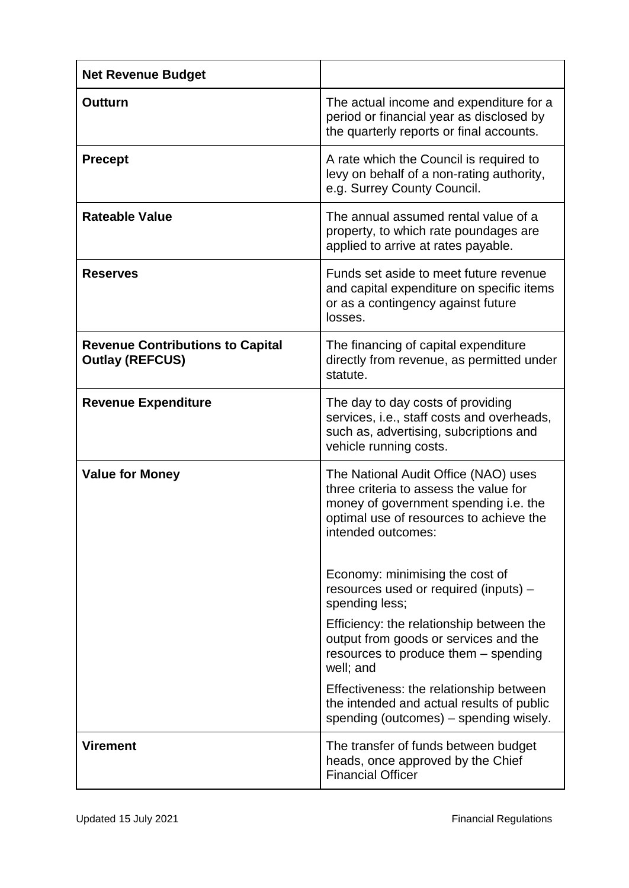| <b>Net Revenue Budget</b>                                         |                                                                                                                                                                                          |
|-------------------------------------------------------------------|------------------------------------------------------------------------------------------------------------------------------------------------------------------------------------------|
| Outturn                                                           | The actual income and expenditure for a<br>period or financial year as disclosed by<br>the quarterly reports or final accounts.                                                          |
| <b>Precept</b>                                                    | A rate which the Council is required to<br>levy on behalf of a non-rating authority,<br>e.g. Surrey County Council.                                                                      |
| <b>Rateable Value</b>                                             | The annual assumed rental value of a<br>property, to which rate poundages are<br>applied to arrive at rates payable.                                                                     |
| <b>Reserves</b>                                                   | Funds set aside to meet future revenue<br>and capital expenditure on specific items<br>or as a contingency against future<br>losses.                                                     |
| <b>Revenue Contributions to Capital</b><br><b>Outlay (REFCUS)</b> | The financing of capital expenditure<br>directly from revenue, as permitted under<br>statute.                                                                                            |
| <b>Revenue Expenditure</b>                                        | The day to day costs of providing<br>services, i.e., staff costs and overheads,<br>such as, advertising, subcriptions and<br>vehicle running costs.                                      |
| <b>Value for Money</b>                                            | The National Audit Office (NAO) uses<br>three criteria to assess the value for<br>money of government spending i.e. the<br>optimal use of resources to achieve the<br>intended outcomes: |
|                                                                   | Economy: minimising the cost of<br>resources used or required (inputs) -<br>spending less;                                                                                               |
|                                                                   | Efficiency: the relationship between the<br>output from goods or services and the<br>resources to produce them - spending<br>well; and                                                   |
|                                                                   | Effectiveness: the relationship between<br>the intended and actual results of public<br>spending (outcomes) – spending wisely.                                                           |
| <b>Virement</b>                                                   | The transfer of funds between budget<br>heads, once approved by the Chief<br><b>Financial Officer</b>                                                                                    |